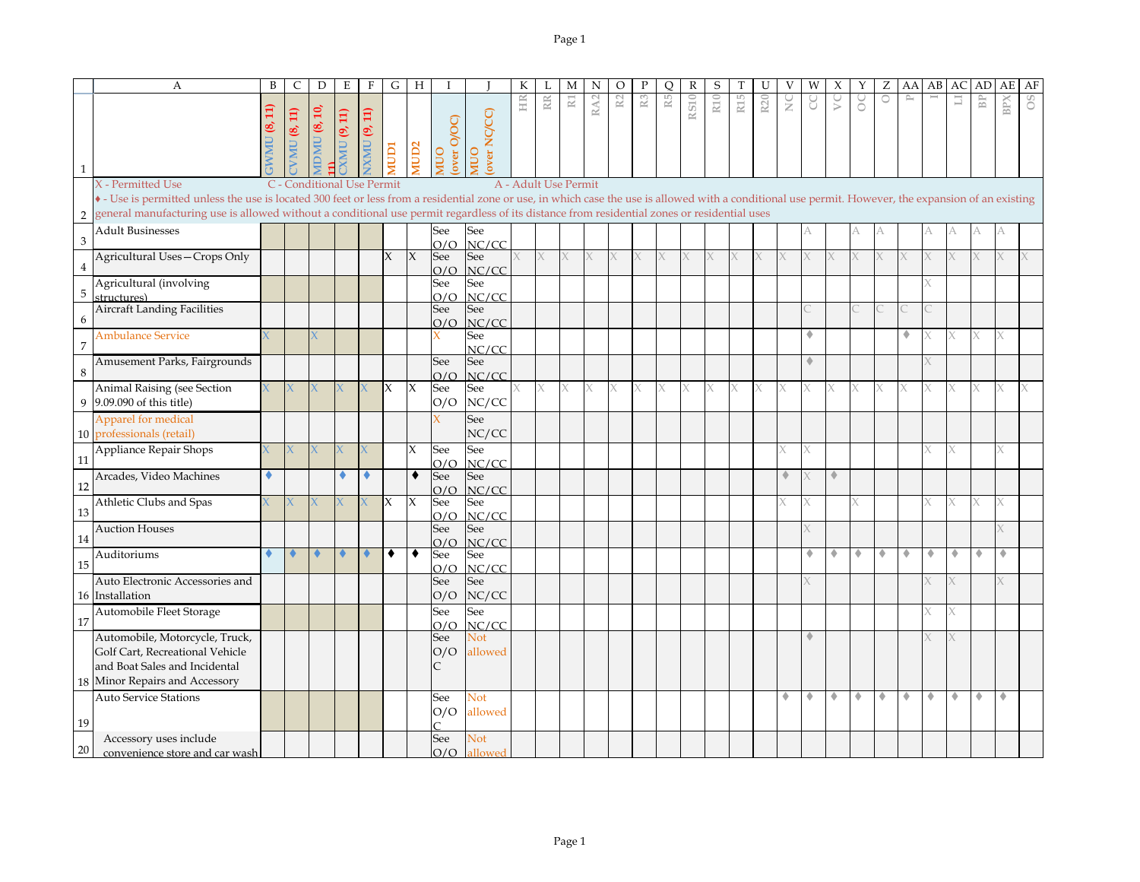|                | A                                                                                                                                                                                                     | B | C                          | D             | E                   | F                   | G            | H            |                      |                    | K                    |        | М              | N               | O              |                | O              | R           | S               |     |                 |               | W | Х  |   | Ζ       | AA               | AB | AC | AD             | AE         | AF  |
|----------------|-------------------------------------------------------------------------------------------------------------------------------------------------------------------------------------------------------|---|----------------------------|---------------|---------------------|---------------------|--------------|--------------|----------------------|--------------------|----------------------|--------|----------------|-----------------|----------------|----------------|----------------|-------------|-----------------|-----|-----------------|---------------|---|----|---|---------|------------------|----|----|----------------|------------|-----|
| $\mathbf{1}$   |                                                                                                                                                                                                       |   | <b>VMU (8, 11)</b>         | DMU $(8, 10)$ | <b>CALL</b> (9, 11) | <b>EXNU</b> (9, 11) | <b>ICION</b> | <b>ICID2</b> | (OO/O Laxe)<br>(Oo/O | over NC/CC)<br>OUI | HIR                  | RR     | $\mathbbm{R}1$ | RA <sub>2</sub> | $\mathbb{R}^2$ | $\mathbb{R}^3$ | R <sub>5</sub> | <b>RS10</b> | R <sub>10</sub> | R15 | R <sub>20</sub> | $\frac{C}{Z}$ | g | S  | S | $\circ$ | $\triangleright$ |    | E  | B <sub>P</sub> | <b>BPX</b> | OS. |
|                | X - Permitted Use                                                                                                                                                                                     |   | C - Conditional Use Permit |               |                     |                     |              |              |                      |                    | A - Adult Use Permit |        |                |                 |                |                |                |             |                 |     |                 |               |   |    |   |         |                  |    |    |                |            |     |
|                | • - Use is permitted unless the use is located 300 feet or less from a residential zone or use, in which case the use is allowed with a conditional use permit. However, the expansion of an existing |   |                            |               |                     |                     |              |              |                      |                    |                      |        |                |                 |                |                |                |             |                 |     |                 |               |   |    |   |         |                  |    |    |                |            |     |
| $\overline{2}$ | general manufacturing use is allowed without a conditional use permit regardless of its distance from residential zones or residential uses                                                           |   |                            |               |                     |                     |              |              |                      |                    |                      |        |                |                 |                |                |                |             |                 |     |                 |               |   |    |   |         |                  |    |    |                |            |     |
|                | <b>Adult Businesses</b>                                                                                                                                                                               |   |                            |               |                     |                     |              |              | See                  | See                |                      |        |                |                 |                |                |                |             |                 |     |                 |               |   |    |   |         |                  |    |    |                |            |     |
| 3              |                                                                                                                                                                                                       |   |                            |               |                     |                     |              |              | O/O                  | NC/CC              |                      |        |                |                 |                |                |                |             |                 |     |                 |               |   |    |   |         |                  |    |    |                |            |     |
|                | Agricultural Uses-Crops Only                                                                                                                                                                          |   |                            |               |                     |                     | $\chi$       | $\chi$       | See                  | See                |                      | $\chi$ | $\chi$         | X.              |                | X              | X.             |             | X               | X.  |                 |               |   | X. |   | X       |                  |    |    |                |            |     |
| 4              |                                                                                                                                                                                                       |   |                            |               |                     |                     |              |              | O/O                  | NC/CC              |                      |        |                |                 |                |                |                |             |                 |     |                 |               |   |    |   |         |                  |    |    |                |            |     |
| 5              | Agricultural (involving                                                                                                                                                                               |   |                            |               |                     |                     |              |              | See                  | See                |                      |        |                |                 |                |                |                |             |                 |     |                 |               |   |    |   |         |                  |    |    |                |            |     |
|                | structures)<br><b>Aircraft Landing Facilities</b>                                                                                                                                                     |   |                            |               |                     |                     |              |              | O/O                  | NC/CC              |                      |        |                |                 |                |                |                |             |                 |     |                 |               |   |    |   |         |                  |    |    |                |            |     |
| 6              |                                                                                                                                                                                                       |   |                            |               |                     |                     |              |              | See<br>O/O           | See<br>NC/CC       |                      |        |                |                 |                |                |                |             |                 |     |                 |               |   |    |   |         |                  |    |    |                |            |     |
|                | <b>Ambulance Service</b>                                                                                                                                                                              |   |                            |               |                     |                     |              |              |                      | See                |                      |        |                |                 |                |                |                |             |                 |     |                 |               | ٠ |    |   |         | ۰                |    |    | $\times$       |            |     |
| $\overline{7}$ |                                                                                                                                                                                                       |   |                            |               |                     |                     |              |              |                      | NC/CC              |                      |        |                |                 |                |                |                |             |                 |     |                 |               |   |    |   |         |                  |    |    |                |            |     |
|                | Amusement Parks, Fairgrounds                                                                                                                                                                          |   |                            |               |                     |                     |              |              | See                  | See                |                      |        |                |                 |                |                |                |             |                 |     |                 |               |   |    |   |         |                  |    |    |                |            |     |
| 8              |                                                                                                                                                                                                       |   |                            |               |                     |                     |              |              | O/O                  | NC/CC              |                      |        |                |                 |                |                |                |             |                 |     |                 |               |   |    |   |         |                  |    |    |                |            |     |
|                | Animal Raising (see Section                                                                                                                                                                           |   |                            |               |                     |                     | X            | X            | See                  | See                |                      |        | X              |                 |                | X              | X.             |             | Χ               | X.  |                 |               |   | X  |   |         |                  |    |    |                | X          |     |
|                | 9 9.09.090 of this title)                                                                                                                                                                             |   |                            |               |                     |                     |              |              | O/O                  | NC/CC              |                      |        |                |                 |                |                |                |             |                 |     |                 |               |   |    |   |         |                  |    |    |                |            |     |
|                | Apparel for medical                                                                                                                                                                                   |   |                            |               |                     |                     |              |              |                      | See                |                      |        |                |                 |                |                |                |             |                 |     |                 |               |   |    |   |         |                  |    |    |                |            |     |
|                | 10 professionals (retail)                                                                                                                                                                             |   |                            |               |                     |                     |              |              |                      | NC/CC              |                      |        |                |                 |                |                |                |             |                 |     |                 |               |   |    |   |         |                  |    |    |                |            |     |
|                | Appliance Repair Shops                                                                                                                                                                                |   |                            |               |                     |                     |              | X            | See                  | See                |                      |        |                |                 |                |                |                |             |                 |     |                 |               |   |    |   |         |                  |    |    |                |            |     |
| 11             |                                                                                                                                                                                                       |   |                            |               |                     |                     |              |              | O/O                  | NC/CC              |                      |        |                |                 |                |                |                |             |                 |     |                 |               |   |    |   |         |                  |    |    |                |            |     |
|                | Arcades, Video Machines                                                                                                                                                                               |   |                            |               |                     | ۰                   |              | $\bullet$    | See                  | See                |                      |        |                |                 |                |                |                |             |                 |     |                 | ۰             |   | ۰  |   |         |                  |    |    |                |            |     |
| 12             |                                                                                                                                                                                                       |   |                            |               |                     |                     |              |              | O/O                  | NC/CC              |                      |        |                |                 |                |                |                |             |                 |     |                 |               |   |    |   |         |                  |    |    |                |            |     |
| 13             | Athletic Clubs and Spas                                                                                                                                                                               |   | K.                         |               |                     |                     | <b>IX</b>    | X            | See                  | See<br>NC/CC       |                      |        |                |                 |                |                |                |             |                 |     |                 |               |   |    |   |         |                  |    |    | X              |            |     |
|                | <b>Auction Houses</b>                                                                                                                                                                                 |   |                            |               |                     |                     |              |              | O/O<br>See           | See                |                      |        |                |                 |                |                |                |             |                 |     |                 |               |   |    |   |         |                  |    |    |                |            |     |
| 14             |                                                                                                                                                                                                       |   |                            |               |                     |                     |              |              | O/O                  | NC/CC              |                      |        |                |                 |                |                |                |             |                 |     |                 |               |   |    |   |         |                  |    |    |                |            |     |
|                | Auditoriums                                                                                                                                                                                           |   | ٠                          |               |                     |                     | $\bullet$    | ۰            | See                  | See                |                      |        |                |                 |                |                |                |             |                 |     |                 |               | ۰ | ٠  | ۰ | ۰       | ۰                | ۰  | ۰  | ۰              | ۰          |     |
| 15             |                                                                                                                                                                                                       |   |                            |               |                     |                     |              |              | O/O                  | NC/CC              |                      |        |                |                 |                |                |                |             |                 |     |                 |               |   |    |   |         |                  |    |    |                |            |     |
|                | Auto Electronic Accessories and                                                                                                                                                                       |   |                            |               |                     |                     |              |              | See                  | See                |                      |        |                |                 |                |                |                |             |                 |     |                 |               |   |    |   |         |                  |    |    |                |            |     |
|                | 16 Installation                                                                                                                                                                                       |   |                            |               |                     |                     |              |              | O/O                  | NC/CC              |                      |        |                |                 |                |                |                |             |                 |     |                 |               |   |    |   |         |                  |    |    |                |            |     |
|                | Automobile Fleet Storage                                                                                                                                                                              |   |                            |               |                     |                     |              |              | See                  | See                |                      |        |                |                 |                |                |                |             |                 |     |                 |               |   |    |   |         |                  |    |    |                |            |     |
| 17             |                                                                                                                                                                                                       |   |                            |               |                     |                     |              |              | O/O                  | NC/CC              |                      |        |                |                 |                |                |                |             |                 |     |                 |               |   |    |   |         |                  |    |    |                |            |     |
|                | Automobile, Motorcycle, Truck,                                                                                                                                                                        |   |                            |               |                     |                     |              |              | See                  | Not<br>allowed     |                      |        |                |                 |                |                |                |             |                 |     |                 |               |   |    |   |         |                  |    |    |                |            |     |
|                | Golf Cart, Recreational Vehicle                                                                                                                                                                       |   |                            |               |                     |                     |              |              | O/O                  |                    |                      |        |                |                 |                |                |                |             |                 |     |                 |               |   |    |   |         |                  |    |    |                |            |     |
|                | and Boat Sales and Incidental                                                                                                                                                                         |   |                            |               |                     |                     |              |              |                      |                    |                      |        |                |                 |                |                |                |             |                 |     |                 |               |   |    |   |         |                  |    |    |                |            |     |
|                | 18 Minor Repairs and Accessory                                                                                                                                                                        |   |                            |               |                     |                     |              |              |                      |                    |                      |        |                |                 |                |                |                |             |                 |     |                 |               |   |    |   |         |                  |    |    |                |            |     |
|                | <b>Auto Service Stations</b>                                                                                                                                                                          |   |                            |               |                     |                     |              |              | See                  | Not                |                      |        |                |                 |                |                |                |             |                 |     |                 |               | ٠ | ٠  | ۰ | ٠       | ۰                | ۰  | ٠  | ۰              | ۰          |     |
| 19             |                                                                                                                                                                                                       |   |                            |               |                     |                     |              |              | O/O<br>⌒             | allowed            |                      |        |                |                 |                |                |                |             |                 |     |                 |               |   |    |   |         |                  |    |    |                |            |     |
|                | Accessory uses include                                                                                                                                                                                |   |                            |               |                     |                     |              |              | See                  | Not                |                      |        |                |                 |                |                |                |             |                 |     |                 |               |   |    |   |         |                  |    |    |                |            |     |
| 20             | convenience store and car wash                                                                                                                                                                        |   |                            |               |                     |                     |              |              | O/O                  | allowed            |                      |        |                |                 |                |                |                |             |                 |     |                 |               |   |    |   |         |                  |    |    |                |            |     |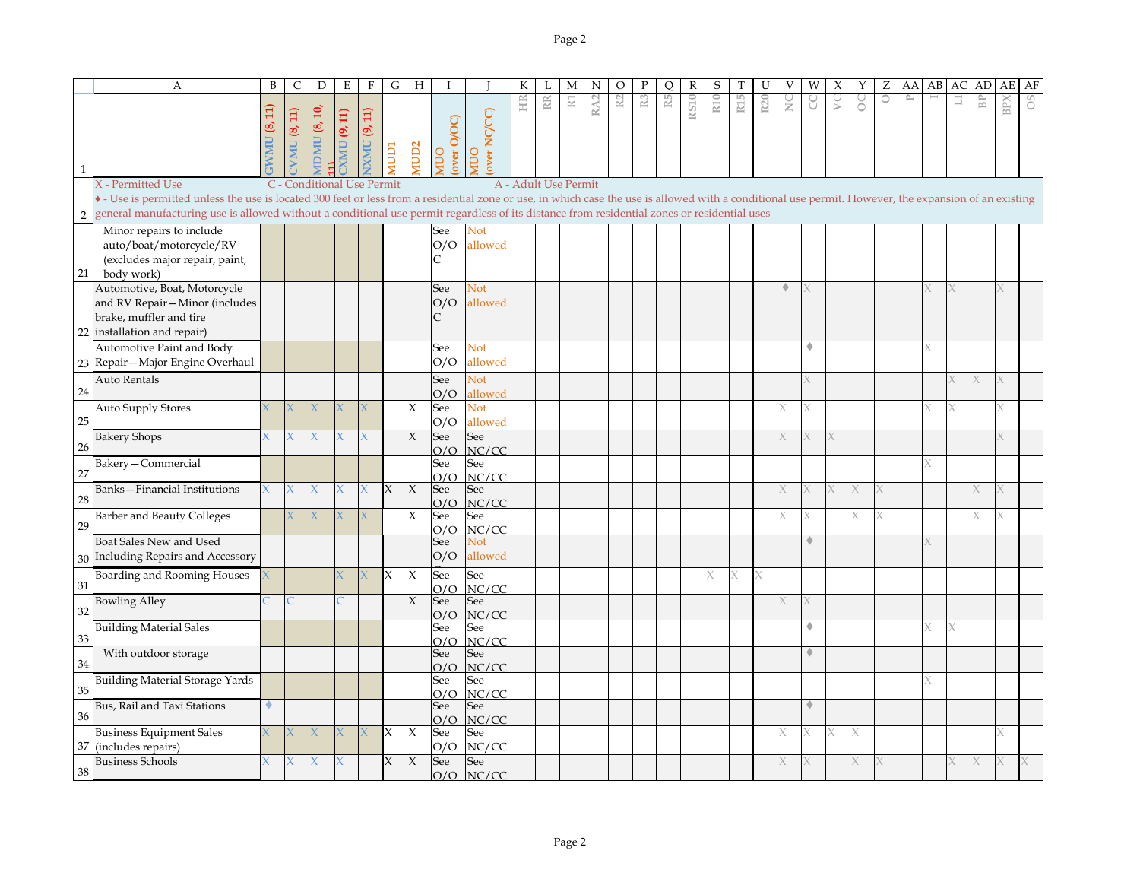|                | A                                                                                                                                                                                                     | B   | C                          | D                   | Ε           | $\mathbf F$ | G            | H                   | I          |                    | К  | L                    | М           | N               | $\circ$ | Ρ              | O              | R           | S   |                 | U               | V  | W | Х                | Y       | Ζ                   | AA | AB | AC | AD                   | AE         | AF |
|----------------|-------------------------------------------------------------------------------------------------------------------------------------------------------------------------------------------------------|-----|----------------------------|---------------------|-------------|-------------|--------------|---------------------|------------|--------------------|----|----------------------|-------------|-----------------|---------|----------------|----------------|-------------|-----|-----------------|-----------------|----|---|------------------|---------|---------------------|----|----|----|----------------------|------------|----|
|                |                                                                                                                                                                                                       | Ħ   |                            |                     |             |             |              |                     |            |                    | HR | RR                   | $\mathbb N$ | RA <sub>2</sub> | R2      | $\mathbb{R}^3$ | $\mathbb{R}^5$ | <b>RS10</b> | R10 | R <sub>15</sub> | R <sub>20</sub> | NC | g | $\triangleright$ | $\circ$ | $\circlearrowright$ | P  |    | Ш  | $\mathbb B\mathbb P$ | <b>BPX</b> | OS |
|                |                                                                                                                                                                                                       | ತ್ರ | <b>VMU (8, 11)</b>         | <b>IDMU (8, 10,</b> | XMU (9, 11) | XMU (9, 11) |              |                     | over O/OC) | over NC/CC)        |    |                      |             |                 |         |                |                |             |     |                 |                 |    |   |                  |         |                     |    |    |    |                      |            |    |
|                |                                                                                                                                                                                                       | NW  |                            |                     |             |             |              |                     |            |                    |    |                      |             |                 |         |                |                |             |     |                 |                 |    |   |                  |         |                     |    |    |    |                      |            |    |
| $\mathbf{1}$   |                                                                                                                                                                                                       |     |                            |                     |             |             | <b>ICIDI</b> | AUD <sub>2</sub>    | OUI        | OUIN               |    |                      |             |                 |         |                |                |             |     |                 |                 |    |   |                  |         |                     |    |    |    |                      |            |    |
|                | X - Permitted Use                                                                                                                                                                                     |     | C - Conditional Use Permit |                     |             |             |              |                     |            |                    |    | A - Adult Use Permit |             |                 |         |                |                |             |     |                 |                 |    |   |                  |         |                     |    |    |    |                      |            |    |
|                | • - Use is permitted unless the use is located 300 feet or less from a residential zone or use, in which case the use is allowed with a conditional use permit. However, the expansion of an existing |     |                            |                     |             |             |              |                     |            |                    |    |                      |             |                 |         |                |                |             |     |                 |                 |    |   |                  |         |                     |    |    |    |                      |            |    |
| $\overline{2}$ | general manufacturing use is allowed without a conditional use permit regardless of its distance from residential zones or residential uses                                                           |     |                            |                     |             |             |              |                     |            |                    |    |                      |             |                 |         |                |                |             |     |                 |                 |    |   |                  |         |                     |    |    |    |                      |            |    |
|                | Minor repairs to include<br>auto/boat/motorcycle/RV                                                                                                                                                   |     |                            |                     |             |             |              |                     | See<br>O/O | Not<br>allowed     |    |                      |             |                 |         |                |                |             |     |                 |                 |    |   |                  |         |                     |    |    |    |                      |            |    |
|                | (excludes major repair, paint,                                                                                                                                                                        |     |                            |                     |             |             |              |                     |            |                    |    |                      |             |                 |         |                |                |             |     |                 |                 |    |   |                  |         |                     |    |    |    |                      |            |    |
| 21             | body work)                                                                                                                                                                                            |     |                            |                     |             |             |              |                     |            |                    |    |                      |             |                 |         |                |                |             |     |                 |                 |    |   |                  |         |                     |    |    |    |                      |            |    |
|                | Automotive, Boat, Motorcycle                                                                                                                                                                          |     |                            |                     |             |             |              |                     | See        | <b>Not</b>         |    |                      |             |                 |         |                |                |             |     |                 |                 |    |   |                  |         |                     |    |    |    |                      |            |    |
|                | and RV Repair-Minor (includes                                                                                                                                                                         |     |                            |                     |             |             |              |                     | O/O        | allowed            |    |                      |             |                 |         |                |                |             |     |                 |                 |    |   |                  |         |                     |    |    |    |                      |            |    |
|                | brake, muffler and tire                                                                                                                                                                               |     |                            |                     |             |             |              |                     | C          |                    |    |                      |             |                 |         |                |                |             |     |                 |                 |    |   |                  |         |                     |    |    |    |                      |            |    |
| 22             | installation and repair)                                                                                                                                                                              |     |                            |                     |             |             |              |                     |            |                    |    |                      |             |                 |         |                |                |             |     |                 |                 |    |   |                  |         |                     |    |    |    |                      |            |    |
|                | Automotive Paint and Body<br>Repair-Major Engine Overhaul                                                                                                                                             |     |                            |                     |             |             |              |                     | See<br>O/O | Not<br>allowed     |    |                      |             |                 |         |                |                |             |     |                 |                 |    |   |                  |         |                     |    |    |    |                      |            |    |
| 23             |                                                                                                                                                                                                       |     |                            |                     |             |             |              |                     |            |                    |    |                      |             |                 |         |                |                |             |     |                 |                 |    |   |                  |         |                     |    |    |    |                      |            |    |
| 24             | <b>Auto Rentals</b>                                                                                                                                                                                   |     |                            |                     |             |             |              |                     | See<br>O/O | Not<br>allowed     |    |                      |             |                 |         |                |                |             |     |                 |                 |    |   |                  |         |                     |    |    |    |                      |            |    |
|                | <b>Auto Supply Stores</b>                                                                                                                                                                             |     |                            |                     |             |             |              | X                   | See        | Not                |    |                      |             |                 |         |                |                |             |     |                 |                 |    |   |                  |         |                     |    |    |    |                      |            |    |
| 25             |                                                                                                                                                                                                       |     |                            |                     |             |             |              |                     | O/O        | allowed            |    |                      |             |                 |         |                |                |             |     |                 |                 |    |   |                  |         |                     |    |    |    |                      |            |    |
| 26             | <b>Bakery Shops</b>                                                                                                                                                                                   |     |                            |                     |             |             |              | X                   | See        | See                |    |                      |             |                 |         |                |                |             |     |                 |                 |    |   |                  |         |                     |    |    |    |                      |            |    |
|                | Bakery-Commercial                                                                                                                                                                                     |     |                            |                     |             |             |              |                     | O/O<br>See | NC/CC<br>See       |    |                      |             |                 |         |                |                |             |     |                 |                 |    |   |                  |         |                     |    |    |    |                      |            |    |
| 27             |                                                                                                                                                                                                       |     |                            |                     |             |             |              |                     | O/O        | NC/CC              |    |                      |             |                 |         |                |                |             |     |                 |                 |    |   |                  |         |                     |    |    |    |                      |            |    |
|                | <b>Banks-Financial Institutions</b>                                                                                                                                                                   |     | X.                         |                     |             |             | $\chi$       | $\mathsf{X}$        | See        | See                |    |                      |             |                 |         |                |                |             |     |                 |                 |    |   |                  |         |                     |    |    |    |                      |            |    |
| 28             |                                                                                                                                                                                                       |     |                            |                     |             |             |              |                     | O/O        | NC/CC              |    |                      |             |                 |         |                |                |             |     |                 |                 |    |   |                  |         |                     |    |    |    |                      |            |    |
| 29             | <b>Barber and Beauty Colleges</b>                                                                                                                                                                     |     |                            |                     |             | X           |              | X                   | See<br>O/O | See<br>NC/CC       |    |                      |             |                 |         |                |                |             |     |                 |                 |    |   |                  |         | X                   |    |    |    |                      |            |    |
|                | Boat Sales New and Used                                                                                                                                                                               |     |                            |                     |             |             |              |                     | See        | Not                |    |                      |             |                 |         |                |                |             |     |                 |                 |    |   |                  |         |                     |    |    |    |                      |            |    |
|                | 30 Including Repairs and Accessory                                                                                                                                                                    |     |                            |                     |             |             |              |                     | O/O        | allowed            |    |                      |             |                 |         |                |                |             |     |                 |                 |    |   |                  |         |                     |    |    |    |                      |            |    |
| 31             | Boarding and Rooming Houses                                                                                                                                                                           |     |                            |                     |             |             | $\chi$       | X                   | See        | See                |    |                      |             |                 |         |                |                |             |     |                 |                 |    |   |                  |         |                     |    |    |    |                      |            |    |
|                | <b>Bowling Alley</b>                                                                                                                                                                                  |     |                            |                     |             |             |              | $\mathsf{X}$        | O/O<br>See | NC/CC<br>See       |    |                      |             |                 |         |                |                |             |     |                 |                 |    |   |                  |         |                     |    |    |    |                      |            |    |
| 32             |                                                                                                                                                                                                       |     |                            |                     |             |             |              |                     | O/O        | NC/CC              |    |                      |             |                 |         |                |                |             |     |                 |                 |    |   |                  |         |                     |    |    |    |                      |            |    |
|                | <b>Building Material Sales</b>                                                                                                                                                                        |     |                            |                     |             |             |              |                     | See        | See                |    |                      |             |                 |         |                |                |             |     |                 |                 |    |   |                  |         |                     |    |    |    |                      |            |    |
| 33             |                                                                                                                                                                                                       |     |                            |                     |             |             |              |                     | O/O        | NC/CC              |    |                      |             |                 |         |                |                |             |     |                 |                 |    |   |                  |         |                     |    |    |    |                      |            |    |
| 34             | With outdoor storage                                                                                                                                                                                  |     |                            |                     |             |             |              |                     | See<br>O/O | See<br>NC/CC       |    |                      |             |                 |         |                |                |             |     |                 |                 |    |   |                  |         |                     |    |    |    |                      |            |    |
| 35             | Building Material Storage Yards                                                                                                                                                                       |     |                            |                     |             |             |              |                     | See<br>O/O | See<br>NC/CC       |    |                      |             |                 |         |                |                |             |     |                 |                 |    |   |                  |         |                     |    |    |    |                      |            |    |
| 36             | Bus, Rail and Taxi Stations                                                                                                                                                                           |     |                            |                     |             |             |              |                     | See<br>O/O | See<br>NC/CC       |    |                      |             |                 |         |                |                |             |     |                 |                 |    | ۰ |                  |         |                     |    |    |    |                      |            |    |
|                | <b>Business Equipment Sales</b>                                                                                                                                                                       |     |                            |                     |             |             | $\mathsf{X}$ | $\boldsymbol{\chi}$ | See        | See                |    |                      |             |                 |         |                |                |             |     |                 |                 |    |   |                  |         |                     |    |    |    |                      |            |    |
| 37             | (includes repairs)                                                                                                                                                                                    |     |                            |                     |             |             |              |                     | O/O        | NC/CC              |    |                      |             |                 |         |                |                |             |     |                 |                 |    |   |                  |         |                     |    |    |    |                      |            |    |
| 38             | <b>Business Schools</b>                                                                                                                                                                               |     | X.                         |                     |             |             | X            | $\overline{X}$      | See        | See<br>$O/O$ NC/CC |    |                      |             |                 |         |                |                |             |     |                 |                 |    |   |                  |         |                     |    |    |    |                      |            |    |
|                |                                                                                                                                                                                                       |     |                            |                     |             |             |              |                     |            |                    |    |                      |             |                 |         |                |                |             |     |                 |                 |    |   |                  |         |                     |    |    |    |                      |            |    |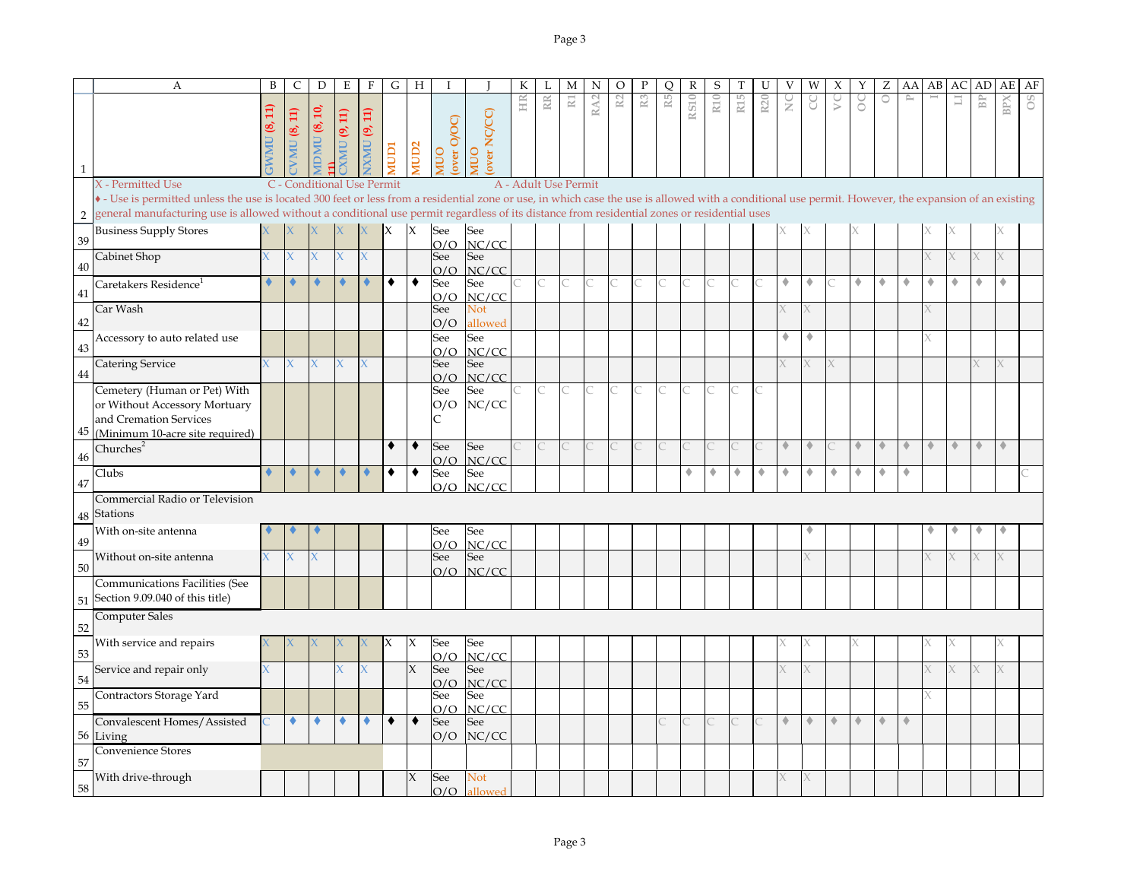|              | A                                                                                                                                                                                                     | B              | $\mathsf{C}$               | $\mathbf D$   | $\mathbf E$            | $\mathbf{F}$            | G            | H                | Ι                  |                    | К  |             | М                     | N               | O              | $\mathbf P$    | Q  | R           | S               |     | U               | V             | W | Х | Υ | Ζ       | AA                          | AB | AC                   | AD                          | AE          | AF |
|--------------|-------------------------------------------------------------------------------------------------------------------------------------------------------------------------------------------------------|----------------|----------------------------|---------------|------------------------|-------------------------|--------------|------------------|--------------------|--------------------|----|-------------|-----------------------|-----------------|----------------|----------------|----|-------------|-----------------|-----|-----------------|---------------|---|---|---|---------|-----------------------------|----|----------------------|-----------------------------|-------------|----|
|              |                                                                                                                                                                                                       |                | <b>VMU (8, 11)</b>         | $DMU$ (8, 10, | (9, 11)<br><b>UNIX</b> | (9, 11)<br><b>UNINY</b> | <b>ICIDI</b> | AUD <sub>2</sub> | over O/OC)<br>OUIN | over NC/CC)<br>OUM | HR | $\mathbb R$ | $\overline{\text{R}}$ | RA <sub>2</sub> | R <sub>2</sub> | R <sub>3</sub> | R5 | <b>RS10</b> | R <sub>10</sub> | R15 | R <sub>20</sub> | $\frac{C}{Z}$ | g | S | S | $\circ$ | $\mathbb{P}^1$              |    | Ħ                    | $\mathbb B\mathbb P$        | BPX         | 80 |
| $\mathbf{1}$ | X - Permitted Use                                                                                                                                                                                     |                | C - Conditional Use Permit |               |                        |                         |              |                  |                    |                    |    |             | A - Adult Use Permit  |                 |                |                |    |             |                 |     |                 |               |   |   |   |         |                             |    |                      |                             |             |    |
|              | • - Use is permitted unless the use is located 300 feet or less from a residential zone or use, in which case the use is allowed with a conditional use permit. However, the expansion of an existing |                |                            |               |                        |                         |              |                  |                    |                    |    |             |                       |                 |                |                |    |             |                 |     |                 |               |   |   |   |         |                             |    |                      |                             |             |    |
| 2            | general manufacturing use is allowed without a conditional use permit regardless of its distance from residential zones or residential uses                                                           |                |                            |               |                        |                         |              |                  |                    |                    |    |             |                       |                 |                |                |    |             |                 |     |                 |               |   |   |   |         |                             |    |                      |                             |             |    |
| 39           | <b>Business Supply Stores</b>                                                                                                                                                                         |                |                            |               |                        |                         | IX.          | ΙX               | See<br>O/O         | See<br>NC/CC       |    |             |                       |                 |                |                |    |             |                 |     |                 |               |   |   |   |         |                             |    |                      |                             |             |    |
| 40           | Cabinet Shop                                                                                                                                                                                          |                |                            |               |                        |                         |              |                  | See<br>O/O         | See<br>NC/CC       |    |             |                       |                 |                |                |    |             |                 |     |                 |               |   |   |   |         |                             |    |                      |                             |             |    |
| 41           | Caretakers Residence <sup>1</sup>                                                                                                                                                                     |                |                            |               |                        |                         | ٠            | ٠                | See<br>O/O         | See<br>NC/CC       |    |             |                       |                 |                |                |    |             |                 |     |                 | ۰             | ٠ |   | ۰ | ٠       | ۰                           | ۰  | ۰                    | ٠                           | ۰           |    |
| 42           | Car Wash                                                                                                                                                                                              |                |                            |               |                        |                         |              |                  | See<br>O/O         | Not<br>allowed     |    |             |                       |                 |                |                |    |             |                 |     |                 |               |   |   |   |         |                             |    |                      |                             |             |    |
| 43           | Accessory to auto related use                                                                                                                                                                         |                |                            |               |                        |                         |              |                  | See<br>O/O         | See<br>NC/CC       |    |             |                       |                 |                |                |    |             |                 |     |                 | ٠             |   |   |   |         |                             |    |                      |                             |             |    |
| 44           | <b>Catering Service</b>                                                                                                                                                                               |                |                            |               |                        | X                       |              |                  | See<br>O/O         | See<br>NC/CC       |    |             |                       |                 |                |                |    |             |                 |     |                 |               |   |   |   |         |                             |    |                      |                             | Χ           |    |
| 45           | Cemetery (Human or Pet) With<br>or Without Accessory Mortuary<br>and Cremation Services<br>(Minimum 10-acre site required)                                                                            |                |                            |               |                        |                         |              |                  | See<br>O/O<br>C    | See<br>NC/CC       |    |             |                       |                 |                |                |    |             |                 |     |                 |               |   |   |   |         |                             |    |                      |                             |             |    |
| 46           | Churches <sup>2</sup>                                                                                                                                                                                 |                |                            |               |                        |                         | ٠            | ٠                | See<br>O/O         | See<br>NC/CC       |    |             |                       |                 |                |                |    |             |                 |     |                 | ۰             | ۰ |   | ۰ | ۰       | $\color{red} \blacklozenge$ | ۰  | $\ddot{\phantom{1}}$ | $\color{red} \blacklozenge$ | $\triangle$ |    |
| 47           | Clubs                                                                                                                                                                                                 |                |                            |               |                        |                         | ٠            | ٠                | See<br>O/O         | See<br>NC/CC       |    |             |                       |                 |                |                |    | ۰           | ٠               | ۰   | ٠               | ٠             | ٠ |   | ۰ |         | ۰                           |    |                      |                             |             |    |
| 48           | Commercial Radio or Television<br>Stations                                                                                                                                                            |                |                            |               |                        |                         |              |                  |                    |                    |    |             |                       |                 |                |                |    |             |                 |     |                 |               |   |   |   |         |                             |    |                      |                             |             |    |
| 49           | With on-site antenna                                                                                                                                                                                  |                |                            |               |                        |                         |              |                  | See<br>O/O         | See<br>NC/CC       |    |             |                       |                 |                |                |    |             |                 |     |                 |               |   |   |   |         |                             |    |                      |                             |             |    |
| 50           | Without on-site antenna                                                                                                                                                                               |                |                            |               |                        |                         |              |                  | See<br>O/O         | See<br>NC/CC       |    |             |                       |                 |                |                |    |             |                 |     |                 |               |   |   |   |         |                             |    |                      |                             |             |    |
| 51           | Communications Facilities (See<br>Section 9.09.040 of this title)                                                                                                                                     |                |                            |               |                        |                         |              |                  |                    |                    |    |             |                       |                 |                |                |    |             |                 |     |                 |               |   |   |   |         |                             |    |                      |                             |             |    |
| 52           | <b>Computer Sales</b>                                                                                                                                                                                 |                |                            |               |                        |                         |              |                  |                    |                    |    |             |                       |                 |                |                |    |             |                 |     |                 |               |   |   |   |         |                             |    |                      |                             |             |    |
| 53           | With service and repairs                                                                                                                                                                              |                |                            |               |                        |                         |              | X                | See<br>O/O         | See<br>NC/CC       |    |             |                       |                 |                |                |    |             |                 |     |                 |               |   |   |   |         |                             |    |                      |                             |             |    |
| 54           | Service and repair only                                                                                                                                                                               | $\overline{X}$ |                            |               |                        |                         |              | $\chi$           | See<br>O/O         | See<br>NC/CC       |    |             |                       |                 |                |                |    |             |                 |     |                 |               |   |   |   |         |                             | K  |                      |                             |             |    |
| 55           | Contractors Storage Yard                                                                                                                                                                              |                |                            |               |                        |                         |              |                  | See<br>O/O         | See<br>NC/CC       |    |             |                       |                 |                |                |    |             |                 |     |                 |               |   |   |   |         |                             |    |                      |                             |             |    |
|              | Convalescent Homes/Assisted<br>56 Living                                                                                                                                                              |                | ٠                          |               |                        | ٠                       | ٠            | $\bullet$        | See<br>O/O         | See<br>NC/CC       |    |             |                       |                 |                |                |    |             |                 |     |                 | ۰             | ۰ | ۰ | ۰ | ۰       | $\ddot{\phantom{1}}$        |    |                      |                             |             |    |
| 57           | Convenience Stores                                                                                                                                                                                    |                |                            |               |                        |                         |              |                  |                    |                    |    |             |                       |                 |                |                |    |             |                 |     |                 |               |   |   |   |         |                             |    |                      |                             |             |    |
| 58           | With drive-through                                                                                                                                                                                    |                |                            |               |                        |                         |              | X                | See<br>O/O         | Not<br>allowed     |    |             |                       |                 |                |                |    |             |                 |     |                 |               |   |   |   |         |                             |    |                      |                             |             |    |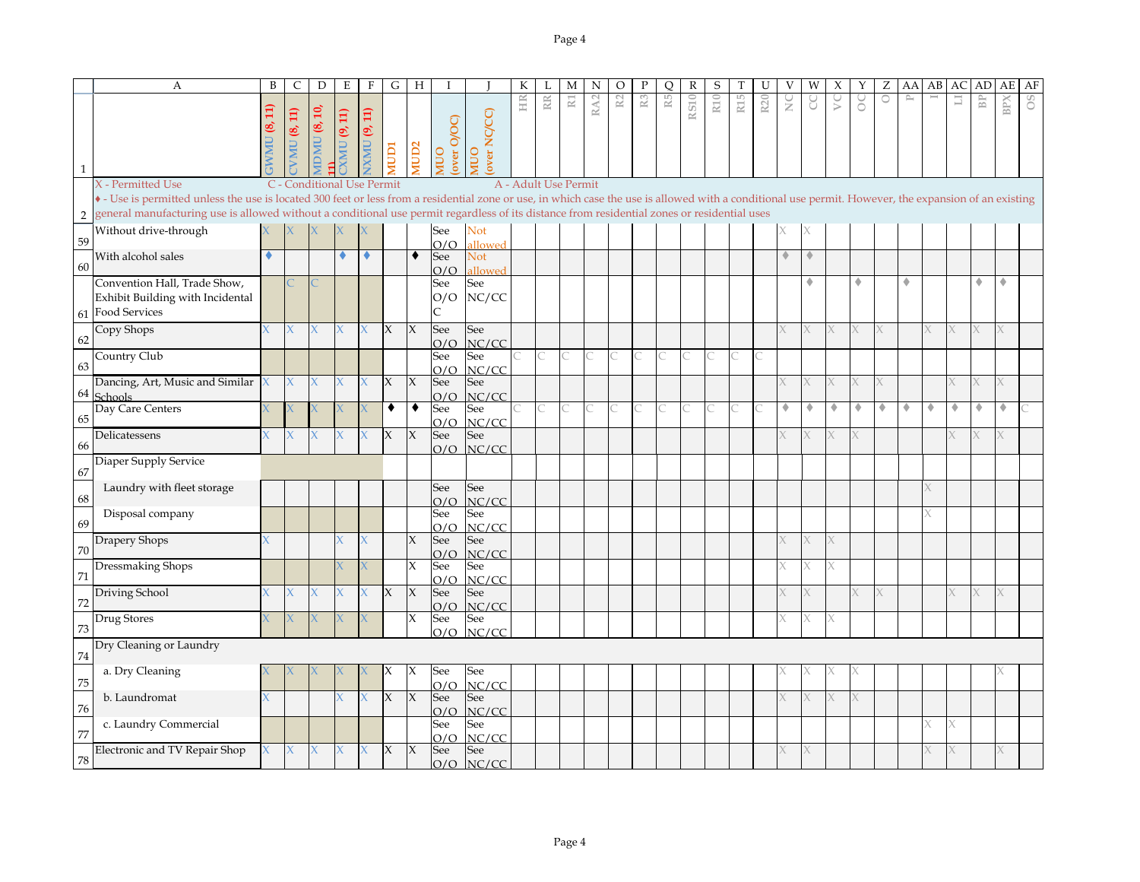|                | А                                                                                                                                                                                                                                                                                                                                                    | B | C            | D                          | Ε                        | $\mathbf F$  | G      | H                |                    |                    | К                    |           | М                     | N               | O  | Ρ              | Q              | R           | S               |                 |     |             | W | Х  | Y | Ζ       | AA           | AB | AC          | AD                   | AЕ  | AF |
|----------------|------------------------------------------------------------------------------------------------------------------------------------------------------------------------------------------------------------------------------------------------------------------------------------------------------------------------------------------------------|---|--------------|----------------------------|--------------------------|--------------|--------|------------------|--------------------|--------------------|----------------------|-----------|-----------------------|-----------------|----|----------------|----------------|-------------|-----------------|-----------------|-----|-------------|---|----|---|---------|--------------|----|-------------|----------------------|-----|----|
| $\mathbf{1}$   |                                                                                                                                                                                                                                                                                                                                                      | Ħ | VMU $(8,11)$ | ຊີ<br>S,<br><b>DMU</b>     | $\Xi$<br>G,<br><b>UM</b> | XMU (9, 11)  | ICIDI  | IUD <sub>2</sub> | over O/OC)<br>OUIN | over NC/CC)<br>OUI | HIR                  | <b>RR</b> | $\overline{\text{R}}$ | RA <sub>2</sub> | R2 | $\mathbb{R}^3$ | $\mathbb{R}^5$ | <b>RS10</b> | R <sub>10</sub> | R <sub>15</sub> | R20 | ž           | g | yc | ŏ | $\circ$ | $\mathbb{P}$ |    | $_{\rm LI}$ | $\mathbb B\mathbb P$ | BPX | 8O |
|                | X - Permitted Use                                                                                                                                                                                                                                                                                                                                    |   |              | C - Conditional Use Permit |                          |              |        |                  |                    |                    | A - Adult Use Permit |           |                       |                 |    |                |                |             |                 |                 |     |             |   |    |   |         |              |    |             |                      |     |    |
| $\overline{2}$ | • - Use is permitted unless the use is located 300 feet or less from a residential zone or use, in which case the use is allowed with a conditional use permit. However, the expansion of an existing<br>general manufacturing use is allowed without a conditional use permit regardless of its distance from residential zones or residential uses |   |              |                            |                          |              |        |                  |                    |                    |                      |           |                       |                 |    |                |                |             |                 |                 |     |             |   |    |   |         |              |    |             |                      |     |    |
| 59             | Without drive-through                                                                                                                                                                                                                                                                                                                                |   |              |                            |                          |              |        |                  | See<br>O/O         | Not<br>allowed     |                      |           |                       |                 |    |                |                |             |                 |                 |     |             |   |    |   |         |              |    |             |                      |     |    |
| 60             | With alcohol sales                                                                                                                                                                                                                                                                                                                                   | ٠ |              |                            |                          | ۰            |        | $\bullet$        | See<br>O/O         | Not<br>allowed     |                      |           |                       |                 |    |                |                |             |                 |                 |     | $\triangle$ | ۰ |    |   |         |              |    |             |                      |     |    |
|                | Convention Hall, Trade Show,<br>Exhibit Building with Incidental<br>61 Food Services                                                                                                                                                                                                                                                                 |   |              |                            |                          |              |        |                  | See<br>O/O         | See<br>NC/CC       |                      |           |                       |                 |    |                |                |             |                 |                 |     |             | ٠ |    | ۰ |         | ۰            |    |             | ٠                    | ٠   |    |
| 62             | Copy Shops                                                                                                                                                                                                                                                                                                                                           |   | X            | X.                         | $\chi$                   | $\chi$       | $\chi$ | $\chi$           | See<br>O/O         | See<br>NC/CC       |                      |           |                       |                 |    |                |                |             |                 |                 |     |             |   | X  |   | X       |              |    |             |                      |     |    |
| 63             | Country Club                                                                                                                                                                                                                                                                                                                                         |   |              |                            |                          |              |        |                  | See<br>O/O         | See<br>NC/CC       |                      |           |                       |                 |    |                |                |             |                 |                 |     |             |   |    |   |         |              |    |             |                      |     |    |
| 64             | Dancing, Art, Music and Similar<br><b>Schools</b>                                                                                                                                                                                                                                                                                                    |   | X            |                            |                          |              | X      | $\chi$           | See<br>O/O         | See<br>NC/CC       |                      |           |                       |                 |    |                |                |             |                 |                 |     |             |   |    |   |         |              |    |             |                      |     |    |
| 65             | Day Care Centers                                                                                                                                                                                                                                                                                                                                     |   |              |                            |                          |              | ٠      | ٠                | See<br>O/O         | See<br>NC/CC       |                      |           |                       |                 |    |                |                |             |                 |                 |     | ۰           | ۰ | ۰  | ۰ | ۰       | ۰            | ۰  | ۰           | ۰                    | ۰   |    |
| 66             | Delicatessens                                                                                                                                                                                                                                                                                                                                        |   | X.           | X                          | X                        | X            | $\chi$ | $\chi$           | See<br>O/O         | See<br>NC/CC       |                      |           |                       |                 |    |                |                |             |                 |                 |     |             |   |    |   |         |              |    |             |                      |     |    |
| 67             | Diaper Supply Service                                                                                                                                                                                                                                                                                                                                |   |              |                            |                          |              |        |                  |                    |                    |                      |           |                       |                 |    |                |                |             |                 |                 |     |             |   |    |   |         |              |    |             |                      |     |    |
| 68             | Laundry with fleet storage                                                                                                                                                                                                                                                                                                                           |   |              |                            |                          |              |        |                  | See<br>O/O         | See<br>NC/CC       |                      |           |                       |                 |    |                |                |             |                 |                 |     |             |   |    |   |         |              |    |             |                      |     |    |
| 69             | Disposal company                                                                                                                                                                                                                                                                                                                                     |   |              |                            |                          |              |        |                  | See<br>O/O         | See<br>NC/CC       |                      |           |                       |                 |    |                |                |             |                 |                 |     |             |   |    |   |         |              |    |             |                      |     |    |
| 70             | Drapery Shops                                                                                                                                                                                                                                                                                                                                        |   |              |                            |                          |              |        | X                | See<br>O/O         | See<br>NC/CC       |                      |           |                       |                 |    |                |                |             |                 |                 |     |             |   |    |   |         |              |    |             |                      |     |    |
| 71             | Dressmaking Shops                                                                                                                                                                                                                                                                                                                                    |   |              |                            |                          |              |        | X                | See<br>O/O         | See<br>NC/CC       |                      |           |                       |                 |    |                |                |             |                 |                 |     |             |   |    |   |         |              |    |             |                      |     |    |
| 72             | Driving School                                                                                                                                                                                                                                                                                                                                       |   | X.           |                            |                          | $\mathsf{X}$ | X      | $\chi$           | See<br>O/O         | See<br>NC/CC       |                      |           |                       |                 |    |                |                |             |                 |                 |     |             |   |    |   | χ       |              |    |             |                      | X.  |    |
| 73             | Drug Stores                                                                                                                                                                                                                                                                                                                                          |   | X.           | X.                         | X.                       |              |        | X                | See<br>O/O         | See<br>NC/CC       |                      |           |                       |                 |    |                |                |             |                 |                 |     |             |   |    |   |         |              |    |             |                      |     |    |
| 74             | Dry Cleaning or Laundry                                                                                                                                                                                                                                                                                                                              |   |              |                            |                          |              |        |                  |                    |                    |                      |           |                       |                 |    |                |                |             |                 |                 |     |             |   |    |   |         |              |    |             |                      |     |    |
| 75             | a. Dry Cleaning                                                                                                                                                                                                                                                                                                                                      |   |              |                            |                          |              |        |                  | See<br>O/O         | See<br>NC/CC       |                      |           |                       |                 |    |                |                |             |                 |                 |     |             |   |    |   |         |              |    |             |                      |     |    |
| 76             | b. Laundromat                                                                                                                                                                                                                                                                                                                                        |   |              |                            |                          |              | $\chi$ | $\chi$           | See<br>O/O         | See<br>NC/CC       |                      |           |                       |                 |    |                |                |             |                 |                 |     |             |   |    |   |         |              |    |             |                      |     |    |
| 77             | c. Laundry Commercial                                                                                                                                                                                                                                                                                                                                |   |              |                            |                          |              |        |                  | See<br>O/O         | See<br>NC/CC       |                      |           |                       |                 |    |                |                |             |                 |                 |     |             |   |    |   |         |              |    |             |                      |     |    |
| 78             | Electronic and TV Repair Shop                                                                                                                                                                                                                                                                                                                        |   | X.           | X                          | X.                       | X            | X      | $\chi$           | See<br>O/O         | See<br>NC/CC       |                      |           |                       |                 |    |                |                |             |                 |                 |     |             |   |    |   |         |              |    |             |                      | K.  |    |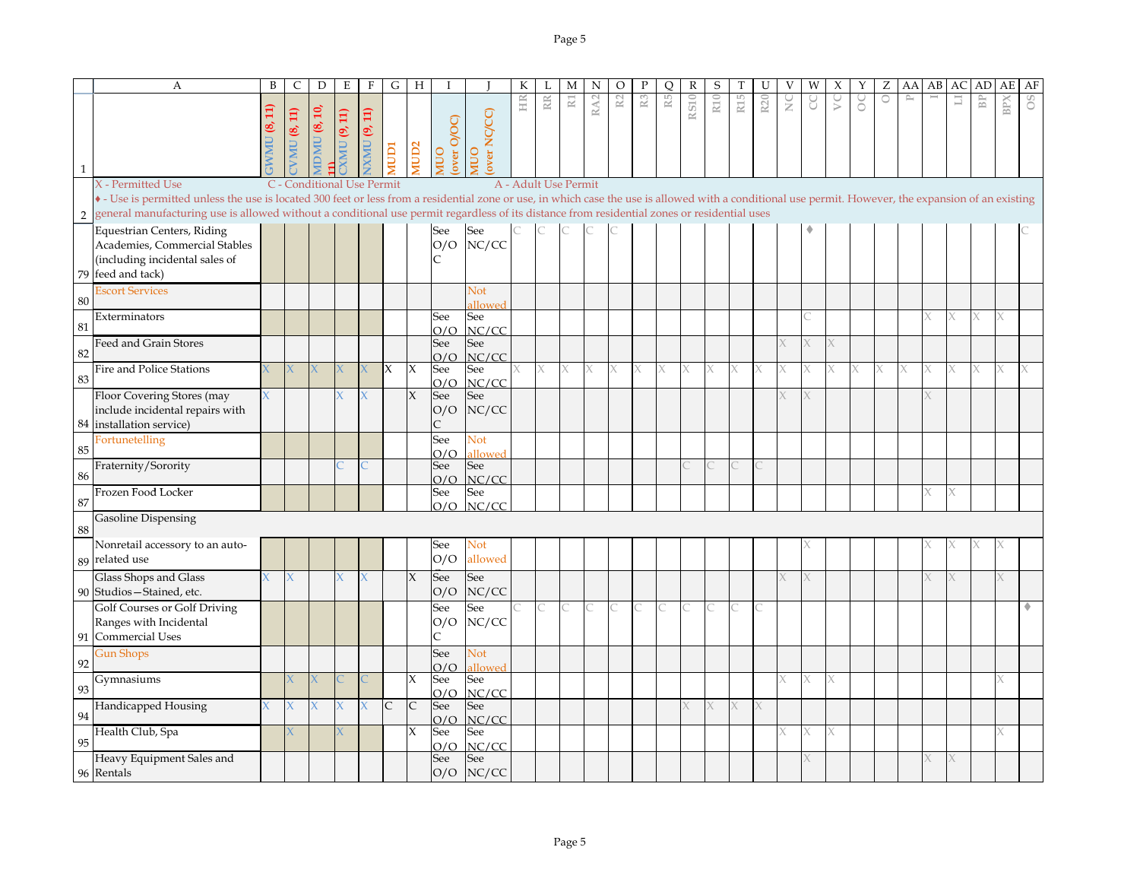|            | A                                                                                                                                                                                                                                                                                                                                                    | B                       | C              | D                          | Ε               | $\mathbf{F}$       | G            | H                   |                                     |                            | К                    |              | М                     | N               | O  |                | O             | R           | S               |                 | U               | V             | W | Х                                        | Υ              | Ζ       | AA       | AB | AC     | AD                   | AE         | AF             |
|------------|------------------------------------------------------------------------------------------------------------------------------------------------------------------------------------------------------------------------------------------------------------------------------------------------------------------------------------------------------|-------------------------|----------------|----------------------------|-----------------|--------------------|--------------|---------------------|-------------------------------------|----------------------------|----------------------|--------------|-----------------------|-----------------|----|----------------|---------------|-------------|-----------------|-----------------|-----------------|---------------|---|------------------------------------------|----------------|---------|----------|----|--------|----------------------|------------|----------------|
| 1          |                                                                                                                                                                                                                                                                                                                                                      | $\Xi$<br>M <sub>0</sub> | $MU$ $(8, 11)$ | <b>IDMU</b> (8, 10,        | <b>CK 4 DND</b> | $N$ $N$ $U(9, 11)$ | <b>ICIDI</b> | <b>MUD2</b>         | over O/OC)<br>OUN                   | over NC/CC)<br><b>NIUO</b> | HR                   | $\mathbb{R}$ | $\overline{\text{R}}$ | RA <sub>2</sub> | R2 | R <sub>3</sub> | $\mathbb{R}5$ | <b>RS10</b> | R <sub>10</sub> | R <sub>15</sub> | R <sub>20</sub> | $\frac{C}{Z}$ |   | $\mathop{\mathop{\mathcal{V}}}\nolimits$ | $\rm ^{\circ}$ | $\circ$ | $\simeq$ |    | $\Box$ | $\mathbb B\mathbb P$ | <b>BPX</b> | O <sub>S</sub> |
|            | X - Permitted Use                                                                                                                                                                                                                                                                                                                                    |                         |                | C - Conditional Use Permit |                 |                    |              |                     |                                     |                            | A - Adult Use Permit |              |                       |                 |    |                |               |             |                 |                 |                 |               |   |                                          |                |         |          |    |        |                      |            |                |
| $\sqrt{2}$ | • - Use is permitted unless the use is located 300 feet or less from a residential zone or use, in which case the use is allowed with a conditional use permit. However, the expansion of an existing<br>general manufacturing use is allowed without a conditional use permit regardless of its distance from residential zones or residential uses |                         |                |                            |                 |                    |              |                     |                                     |                            |                      |              |                       |                 |    |                |               |             |                 |                 |                 |               |   |                                          |                |         |          |    |        |                      |            |                |
| 79         | <b>Equestrian Centers, Riding</b><br>Academies, Commercial Stables<br>(including incidental sales of<br>feed and tack)                                                                                                                                                                                                                               |                         |                |                            |                 |                    |              |                     | See<br>O/O<br>C                     | See<br>NC/CC               |                      |              |                       |                 |    |                |               |             |                 |                 |                 |               |   |                                          |                |         |          |    |        |                      |            |                |
| 80         | <b>Escort Services</b>                                                                                                                                                                                                                                                                                                                               |                         |                |                            |                 |                    |              |                     |                                     | Not<br><b>illowed</b>      |                      |              |                       |                 |    |                |               |             |                 |                 |                 |               |   |                                          |                |         |          |    |        |                      |            |                |
| 81         | Exterminators                                                                                                                                                                                                                                                                                                                                        |                         |                |                            |                 |                    |              |                     | See<br>O/O                          | See<br>NC/CC               |                      |              |                       |                 |    |                |               |             |                 |                 |                 |               |   |                                          |                |         |          |    |        | X                    | X.         |                |
| 82         | Feed and Grain Stores                                                                                                                                                                                                                                                                                                                                |                         |                |                            |                 |                    |              |                     | See<br>O/O                          | See<br>NC/CC               |                      |              |                       |                 |    |                |               |             |                 |                 |                 |               |   |                                          |                |         |          |    |        |                      |            |                |
| 83         | <b>Fire and Police Stations</b>                                                                                                                                                                                                                                                                                                                      |                         |                |                            |                 |                    | X            | X                   | See                                 | See                        |                      | X            | X                     |                 |    |                |               |             |                 |                 |                 |               |   |                                          |                |         |          |    |        |                      |            |                |
|            | Floor Covering Stores (may<br>include incidental repairs with<br>84 installation service)                                                                                                                                                                                                                                                            |                         |                |                            |                 |                    |              | $\chi$              | O/O<br>See<br>O/O<br>$\overline{C}$ | NC/CC<br>See<br>NC/CC      |                      |              |                       |                 |    |                |               |             |                 |                 |                 |               |   |                                          |                |         |          |    |        |                      |            |                |
| 85         | Fortunetelling                                                                                                                                                                                                                                                                                                                                       |                         |                |                            |                 |                    |              |                     | See<br>O/O                          | Not<br><b>illowed</b>      |                      |              |                       |                 |    |                |               |             |                 |                 |                 |               |   |                                          |                |         |          |    |        |                      |            |                |
| 86         | Fraternity/Sorority                                                                                                                                                                                                                                                                                                                                  |                         |                |                            |                 |                    |              |                     | See<br>O/O                          | See<br>NC/CC               |                      |              |                       |                 |    |                |               |             |                 |                 |                 |               |   |                                          |                |         |          |    |        |                      |            |                |
| 87         | Frozen Food Locker                                                                                                                                                                                                                                                                                                                                   |                         |                |                            |                 |                    |              |                     | See<br>O/O                          | See<br>NC/CC               |                      |              |                       |                 |    |                |               |             |                 |                 |                 |               |   |                                          |                |         |          |    |        |                      |            |                |
| 88         | <b>Gasoline Dispensing</b>                                                                                                                                                                                                                                                                                                                           |                         |                |                            |                 |                    |              |                     |                                     |                            |                      |              |                       |                 |    |                |               |             |                 |                 |                 |               |   |                                          |                |         |          |    |        |                      |            |                |
|            | Nonretail accessory to an auto-<br>89 related use                                                                                                                                                                                                                                                                                                    |                         |                |                            |                 |                    |              |                     | See<br>O/O                          | Not<br>allowed             |                      |              |                       |                 |    |                |               |             |                 |                 |                 |               |   |                                          |                |         |          |    |        |                      |            |                |
|            | Glass Shops and Glass<br>90 Studios - Stained, etc.                                                                                                                                                                                                                                                                                                  |                         | X.             |                            |                 |                    |              | $\chi$              | See<br>O/O                          | See<br>NC/CC               |                      |              |                       |                 |    |                |               |             |                 |                 |                 |               |   |                                          |                |         |          |    |        |                      |            |                |
| 91         | Golf Courses or Golf Driving<br>Ranges with Incidental<br>Commercial Uses                                                                                                                                                                                                                                                                            |                         |                |                            |                 |                    |              |                     | See<br>O/O<br>C                     | See<br>NC/CC               |                      |              |                       |                 |    |                |               |             |                 |                 |                 |               |   |                                          |                |         |          |    |        |                      |            |                |
| 92         | <b>Gun Shops</b>                                                                                                                                                                                                                                                                                                                                     |                         |                |                            |                 |                    |              |                     | See<br>O/O                          | Not<br>allowed             |                      |              |                       |                 |    |                |               |             |                 |                 |                 |               |   |                                          |                |         |          |    |        |                      |            |                |
| 93         | Gymnasiums                                                                                                                                                                                                                                                                                                                                           |                         |                |                            |                 |                    |              | $\boldsymbol{\chi}$ | See<br>O/O                          | See<br>NC/CC               |                      |              |                       |                 |    |                |               |             |                 |                 |                 |               |   |                                          |                |         |          |    |        |                      |            |                |
| 94         | Handicapped Housing                                                                                                                                                                                                                                                                                                                                  |                         |                |                            |                 | $\chi$             | $\mathsf{C}$ | $\mathsf{C}$        | See<br>O/O                          | See<br>NC/CC               |                      |              |                       |                 |    |                |               |             |                 |                 |                 |               |   |                                          |                |         |          |    |        |                      |            |                |
| 95         | Health Club, Spa                                                                                                                                                                                                                                                                                                                                     |                         |                |                            |                 |                    |              | $\chi$              | See<br>O/O                          | See<br>NC/CC               |                      |              |                       |                 |    |                |               |             |                 |                 |                 |               | X |                                          |                |         |          |    |        |                      | X          |                |
|            | Heavy Equipment Sales and<br>96 Rentals                                                                                                                                                                                                                                                                                                              |                         |                |                            |                 |                    |              |                     | See<br>O/O                          | See<br>NC/CC               |                      |              |                       |                 |    |                |               |             |                 |                 |                 |               |   |                                          |                |         |          |    |        |                      |            |                |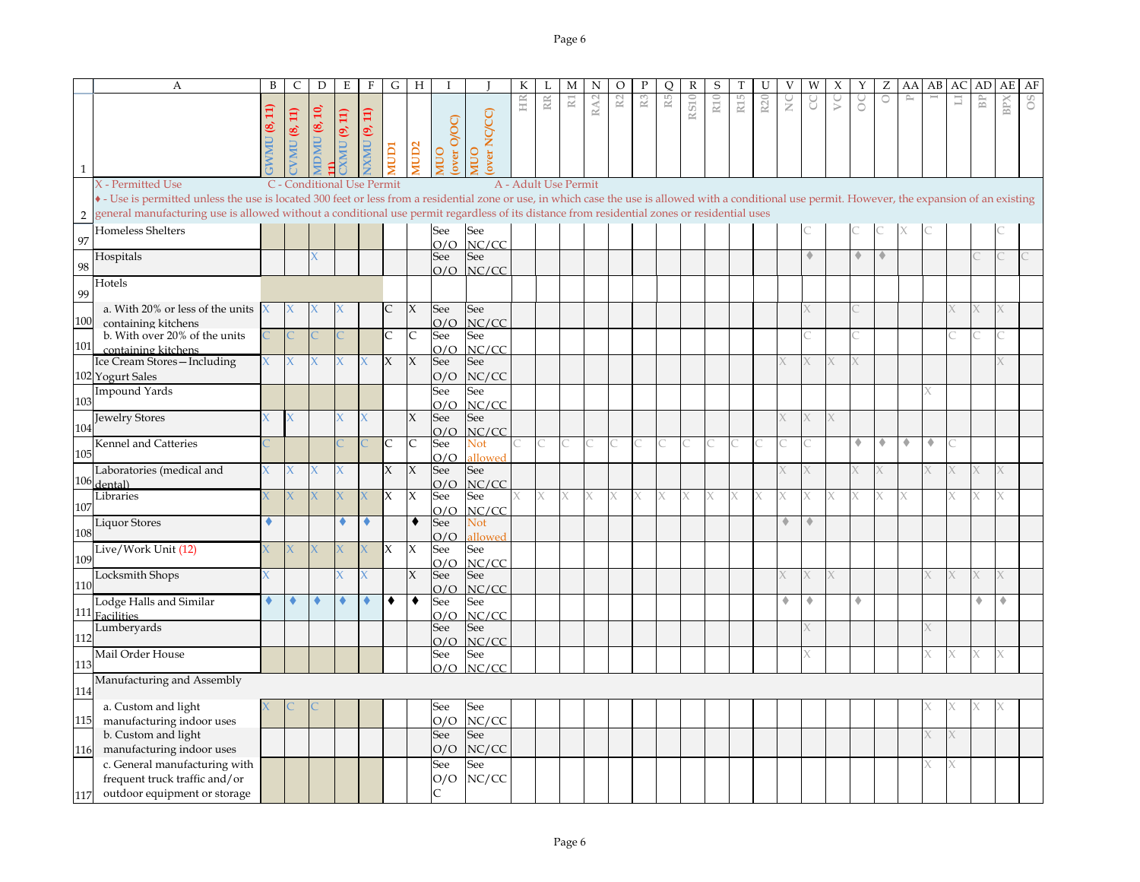|                | A                                                                                                                                                                                                                                                                                                                                                    | B | $\mathsf{C}$ | D                          | E                   | $\mathbf{F}$        | G            | H                   |                   |                       | К  | L  | M                     | N               | $\circ$        | $\mathbf{P}$   | Q  | $\mathbb R$ | S   | T               | U               |               | W | X | Y | Ζ       | AA             | AB | AС | AD             | AE  | AF |
|----------------|------------------------------------------------------------------------------------------------------------------------------------------------------------------------------------------------------------------------------------------------------------------------------------------------------------------------------------------------------|---|--------------|----------------------------|---------------------|---------------------|--------------|---------------------|-------------------|-----------------------|----|----|-----------------------|-----------------|----------------|----------------|----|-------------|-----|-----------------|-----------------|---------------|---|---|---|---------|----------------|----|----|----------------|-----|----|
|                |                                                                                                                                                                                                                                                                                                                                                      |   |              |                            |                     |                     |              |                     |                   |                       | HR | RR | $\overline{\text{R}}$ | RA <sub>2</sub> | R <sub>2</sub> | R <sub>3</sub> | R5 |             | R10 | R <sub>15</sub> | R <sub>20</sub> | $\frac{C}{Z}$ |   | S | ŏ | $\circ$ | $\mathbb{P}^1$ |    | 冒  | B <sub>P</sub> | BPX | 8O |
|                |                                                                                                                                                                                                                                                                                                                                                      |   | $\Xi$        | ≘ັ                         |                     |                     |              |                     |                   |                       |    |    |                       |                 |                |                |    | <b>RS10</b> |     |                 |                 |               |   |   |   |         |                |    |    |                |     |    |
|                |                                                                                                                                                                                                                                                                                                                                                      |   | S,           |                            | <b>CALL</b> (9, 11) |                     |              |                     |                   |                       |    |    |                       |                 |                |                |    |             |     |                 |                 |               |   |   |   |         |                |    |    |                |     |    |
|                |                                                                                                                                                                                                                                                                                                                                                      |   |              |                            |                     |                     |              |                     |                   |                       |    |    |                       |                 |                |                |    |             |     |                 |                 |               |   |   |   |         |                |    |    |                |     |    |
|                |                                                                                                                                                                                                                                                                                                                                                      |   | VMU          | IDMU <sup>8</sup>          |                     | <b>IXMU (9, 11)</b> | <b>ICION</b> | <b>ICIDS</b>        | over O/OC<br>OUIN | over NC/CC)<br>OUI    |    |    |                       |                 |                |                |    |             |     |                 |                 |               |   |   |   |         |                |    |    |                |     |    |
| 1              |                                                                                                                                                                                                                                                                                                                                                      |   |              |                            |                     |                     |              |                     |                   |                       |    |    |                       |                 |                |                |    |             |     |                 |                 |               |   |   |   |         |                |    |    |                |     |    |
|                | X - Permitted Use                                                                                                                                                                                                                                                                                                                                    |   |              | C - Conditional Use Permit |                     |                     |              |                     |                   |                       |    |    | A - Adult Use Permit  |                 |                |                |    |             |     |                 |                 |               |   |   |   |         |                |    |    |                |     |    |
|                | • - Use is permitted unless the use is located 300 feet or less from a residential zone or use, in which case the use is allowed with a conditional use permit. However, the expansion of an existing<br>general manufacturing use is allowed without a conditional use permit regardless of its distance from residential zones or residential uses |   |              |                            |                     |                     |              |                     |                   |                       |    |    |                       |                 |                |                |    |             |     |                 |                 |               |   |   |   |         |                |    |    |                |     |    |
| $\overline{2}$ |                                                                                                                                                                                                                                                                                                                                                      |   |              |                            |                     |                     |              |                     |                   |                       |    |    |                       |                 |                |                |    |             |     |                 |                 |               |   |   |   |         |                |    |    |                |     |    |
| 97             | Homeless Shelters                                                                                                                                                                                                                                                                                                                                    |   |              |                            |                     |                     |              |                     | See               | See                   |    |    |                       |                 |                |                |    |             |     |                 |                 |               |   |   |   |         |                |    |    |                |     |    |
|                | Hospitals                                                                                                                                                                                                                                                                                                                                            |   |              |                            |                     |                     |              |                     | O/O<br>See        | NC/CC<br>See          |    |    |                       |                 |                |                |    |             |     |                 |                 |               |   |   | ۰ | ٠       |                |    |    |                |     |    |
| 98             |                                                                                                                                                                                                                                                                                                                                                      |   |              |                            |                     |                     |              |                     | O/O               | NC/CC                 |    |    |                       |                 |                |                |    |             |     |                 |                 |               |   |   |   |         |                |    |    |                |     |    |
|                | Hotels                                                                                                                                                                                                                                                                                                                                               |   |              |                            |                     |                     |              |                     |                   |                       |    |    |                       |                 |                |                |    |             |     |                 |                 |               |   |   |   |         |                |    |    |                |     |    |
| 99             |                                                                                                                                                                                                                                                                                                                                                      |   |              |                            |                     |                     |              |                     |                   |                       |    |    |                       |                 |                |                |    |             |     |                 |                 |               |   |   |   |         |                |    |    |                |     |    |
| 100            | a. With 20% or less of the units                                                                                                                                                                                                                                                                                                                     |   |              |                            |                     |                     | C            | X                   | See               | See                   |    |    |                       |                 |                |                |    |             |     |                 |                 |               |   |   |   |         |                |    |    |                |     |    |
|                | containing kitchens<br>b. With over 20% of the units                                                                                                                                                                                                                                                                                                 |   |              |                            |                     |                     | $\mathsf{C}$ | C                   | O/O<br>See        | NC/CC<br>See          |    |    |                       |                 |                |                |    |             |     |                 |                 |               |   |   |   |         |                |    |    |                |     |    |
| 101            | containing kitchens                                                                                                                                                                                                                                                                                                                                  |   |              |                            |                     |                     |              |                     | O/O               | NC/CC                 |    |    |                       |                 |                |                |    |             |     |                 |                 |               |   |   |   |         |                |    |    |                |     |    |
|                | Ice Cream Stores-Including                                                                                                                                                                                                                                                                                                                           |   |              |                            |                     |                     | X            | $\chi$              | See               | See                   |    |    |                       |                 |                |                |    |             |     |                 |                 |               |   |   |   |         |                |    |    |                |     |    |
|                | 102 Yogurt Sales                                                                                                                                                                                                                                                                                                                                     |   |              |                            |                     |                     |              |                     | O/O               | NC/CC                 |    |    |                       |                 |                |                |    |             |     |                 |                 |               |   |   |   |         |                |    |    |                |     |    |
|                | <b>Impound Yards</b>                                                                                                                                                                                                                                                                                                                                 |   |              |                            |                     |                     |              |                     | See               | See                   |    |    |                       |                 |                |                |    |             |     |                 |                 |               |   |   |   |         |                |    |    |                |     |    |
| 103            |                                                                                                                                                                                                                                                                                                                                                      |   |              |                            |                     |                     |              |                     | O/O               | NC/CC                 |    |    |                       |                 |                |                |    |             |     |                 |                 |               |   |   |   |         |                |    |    |                |     |    |
| 104            | <b>Jewelry Stores</b>                                                                                                                                                                                                                                                                                                                                |   |              |                            |                     | X                   |              | X                   | See               | See                   |    |    |                       |                 |                |                |    |             |     |                 |                 |               | Χ | X |   |         |                |    |    |                |     |    |
|                |                                                                                                                                                                                                                                                                                                                                                      |   |              |                            |                     |                     |              |                     | O/O               | NC/CC                 |    |    |                       |                 |                |                |    |             |     |                 |                 |               |   |   | ۰ | ۰       | ۰              | ۰  |    |                |     |    |
| 105            | Kennel and Catteries                                                                                                                                                                                                                                                                                                                                 |   |              |                            |                     |                     | C            | $\mathsf C$         | See<br>O/O        | Not<br><b>illowed</b> |    |    |                       |                 |                |                |    |             |     |                 |                 |               |   |   |   |         |                |    |    |                |     |    |
|                | Laboratories (medical and                                                                                                                                                                                                                                                                                                                            |   |              |                            |                     |                     | $\chi$       | $\boldsymbol{\chi}$ | See               | See                   |    |    |                       |                 |                |                |    |             |     |                 |                 |               |   |   |   |         |                |    |    |                |     |    |
|                | $106$ dental)                                                                                                                                                                                                                                                                                                                                        |   |              |                            |                     |                     |              |                     | O/O               | NC/CC                 |    |    |                       |                 |                |                |    |             |     |                 |                 |               |   |   |   |         |                |    |    |                |     |    |
|                | Libraries                                                                                                                                                                                                                                                                                                                                            |   |              | х                          | X                   |                     | IX           | X                   | See               | See                   |    | X  | X                     |                 |                | X              | Х. |             |     |                 |                 | Χ             |   |   |   |         |                |    |    |                |     |    |
| 107            |                                                                                                                                                                                                                                                                                                                                                      |   |              |                            |                     |                     |              |                     | O/O               | NC/CC                 |    |    |                       |                 |                |                |    |             |     |                 |                 |               |   |   |   |         |                |    |    |                |     |    |
| 108            | Liquor Stores                                                                                                                                                                                                                                                                                                                                        |   |              |                            |                     | ۰                   |              | ٠                   | See               | Not                   |    |    |                       |                 |                |                |    |             |     |                 |                 |               |   |   |   |         |                |    |    |                |     |    |
|                | Live/Work Unit (12)                                                                                                                                                                                                                                                                                                                                  |   |              |                            |                     |                     | IX           | X                   | O/O<br>See        | allowed<br>See        |    |    |                       |                 |                |                |    |             |     |                 |                 |               |   |   |   |         |                |    |    |                |     |    |
| 109            |                                                                                                                                                                                                                                                                                                                                                      |   |              |                            |                     |                     |              |                     | O/O               | NC/CC                 |    |    |                       |                 |                |                |    |             |     |                 |                 |               |   |   |   |         |                |    |    |                |     |    |
|                | Locksmith Shops                                                                                                                                                                                                                                                                                                                                      |   |              |                            |                     | X.                  |              | $\chi$              | See               | See                   |    |    |                       |                 |                |                |    |             |     |                 |                 |               |   |   |   |         |                |    |    |                |     |    |
| 110            |                                                                                                                                                                                                                                                                                                                                                      |   |              |                            |                     |                     |              |                     | O/O               | NC/CC                 |    |    |                       |                 |                |                |    |             |     |                 |                 |               |   |   |   |         |                |    |    |                |     |    |
|                | Lodge Halls and Similar                                                                                                                                                                                                                                                                                                                              |   |              |                            |                     |                     | ٠            | ٠                   | See               | See                   |    |    |                       |                 |                |                |    |             |     |                 |                 |               | ۰ |   | ۰ |         |                |    |    | ۰              | ٠   |    |
| 111            | <b>Facilities</b>                                                                                                                                                                                                                                                                                                                                    |   |              |                            |                     |                     |              |                     | O/O               | NC/CC                 |    |    |                       |                 |                |                |    |             |     |                 |                 |               |   |   |   |         |                |    |    |                |     |    |
| 112            | Lumberyards                                                                                                                                                                                                                                                                                                                                          |   |              |                            |                     |                     |              |                     | See<br>O/O        | See<br>NC/CC          |    |    |                       |                 |                |                |    |             |     |                 |                 |               |   |   |   |         |                |    |    |                |     |    |
|                | Mail Order House                                                                                                                                                                                                                                                                                                                                     |   |              |                            |                     |                     |              |                     | See               | See                   |    |    |                       |                 |                |                |    |             |     |                 |                 |               |   |   |   |         |                |    |    | X.             | X   |    |
| 113            |                                                                                                                                                                                                                                                                                                                                                      |   |              |                            |                     |                     |              |                     | O/O               | NC/CC                 |    |    |                       |                 |                |                |    |             |     |                 |                 |               |   |   |   |         |                |    |    |                |     |    |
|                | Manufacturing and Assembly                                                                                                                                                                                                                                                                                                                           |   |              |                            |                     |                     |              |                     |                   |                       |    |    |                       |                 |                |                |    |             |     |                 |                 |               |   |   |   |         |                |    |    |                |     |    |
| 114            |                                                                                                                                                                                                                                                                                                                                                      |   |              |                            |                     |                     |              |                     |                   |                       |    |    |                       |                 |                |                |    |             |     |                 |                 |               |   |   |   |         |                |    |    |                |     |    |
|                | a. Custom and light                                                                                                                                                                                                                                                                                                                                  |   |              |                            |                     |                     |              |                     | See               | See                   |    |    |                       |                 |                |                |    |             |     |                 |                 |               |   |   |   |         |                |    |    |                |     |    |
| 115            | manufacturing indoor uses                                                                                                                                                                                                                                                                                                                            |   |              |                            |                     |                     |              |                     | O/O               | NC/CC                 |    |    |                       |                 |                |                |    |             |     |                 |                 |               |   |   |   |         |                |    |    |                |     |    |
|                | b. Custom and light<br>manufacturing indoor uses                                                                                                                                                                                                                                                                                                     |   |              |                            |                     |                     |              |                     | See<br>O/O        | See<br>NC/CC          |    |    |                       |                 |                |                |    |             |     |                 |                 |               |   |   |   |         |                |    |    |                |     |    |
| 116            | c. General manufacturing with                                                                                                                                                                                                                                                                                                                        |   |              |                            |                     |                     |              |                     | See               | See                   |    |    |                       |                 |                |                |    |             |     |                 |                 |               |   |   |   |         |                |    |    |                |     |    |
|                | frequent truck traffic and/or                                                                                                                                                                                                                                                                                                                        |   |              |                            |                     |                     |              |                     | O/O               | NC/CC                 |    |    |                       |                 |                |                |    |             |     |                 |                 |               |   |   |   |         |                |    |    |                |     |    |
| 117            | outdoor equipment or storage                                                                                                                                                                                                                                                                                                                         |   |              |                            |                     |                     |              |                     | C                 |                       |    |    |                       |                 |                |                |    |             |     |                 |                 |               |   |   |   |         |                |    |    |                |     |    |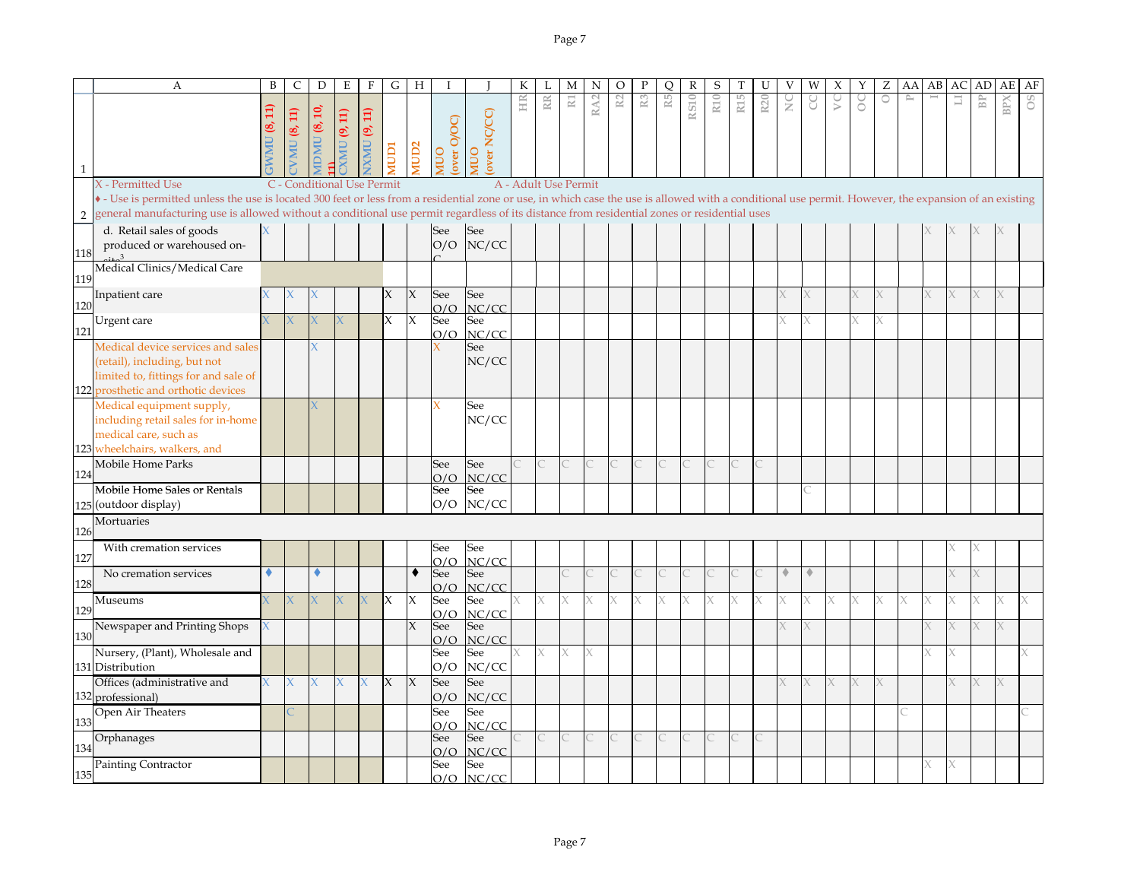|                | А                                                                                                                                                                                                     | B                       | C           | D                          | E          | $\mathbf F$        | G            | H                   | I                  |              | К                    | L  | M                     | N               | O              | P              | Q  | $\mathbb R$ | S               | T               | U               | V                   | W          | Х | Υ | Ζ       | AA           | AB | AC | AD             | AE         | AF |
|----------------|-------------------------------------------------------------------------------------------------------------------------------------------------------------------------------------------------------|-------------------------|-------------|----------------------------|------------|--------------------|--------------|---------------------|--------------------|--------------|----------------------|----|-----------------------|-----------------|----------------|----------------|----|-------------|-----------------|-----------------|-----------------|---------------------|------------|---|---|---------|--------------|----|----|----------------|------------|----|
|                |                                                                                                                                                                                                       |                         |             |                            |            |                    |              |                     |                    |              | HR                   | RR | $\overline{\text{R}}$ | RA <sub>2</sub> | R <sub>2</sub> | $\mathbb{R}^3$ | R5 | RS10        | R <sub>10</sub> | R <sub>15</sub> | R <sub>20</sub> | $\sum_{i=1}^{n}$    | g          | S | ŏ | $\circ$ | $\mathbb{P}$ |    | Ш  | B <sub>P</sub> | <b>BPX</b> | °° |
|                |                                                                                                                                                                                                       | Ħ                       | VMU (8, 11) | DMU (8, 10,                | (9, 11)    | <b>XMU (9, 11)</b> |              |                     |                    | over NC/CC)  |                      |    |                       |                 |                |                |    |             |                 |                 |                 |                     |            |   |   |         |              |    |    |                |            |    |
|                |                                                                                                                                                                                                       | ತ್ರ                     |             |                            |            |                    |              |                     | MUO<br>(over O/OC) |              |                      |    |                       |                 |                |                |    |             |                 |                 |                 |                     |            |   |   |         |              |    |    |                |            |    |
|                |                                                                                                                                                                                                       | $\overline{\mathbf{M}}$ |             |                            | <b>UMV</b> |                    | rany         | AUD <sub>2</sub>    |                    | OUI          |                      |    |                       |                 |                |                |    |             |                 |                 |                 |                     |            |   |   |         |              |    |    |                |            |    |
| $\mathbf{1}$   |                                                                                                                                                                                                       |                         |             |                            |            |                    |              |                     |                    |              |                      |    |                       |                 |                |                |    |             |                 |                 |                 |                     |            |   |   |         |              |    |    |                |            |    |
|                | X - Permitted Use                                                                                                                                                                                     |                         |             | C - Conditional Use Permit |            |                    |              |                     |                    |              | A - Adult Use Permit |    |                       |                 |                |                |    |             |                 |                 |                 |                     |            |   |   |         |              |    |    |                |            |    |
|                | • - Use is permitted unless the use is located 300 feet or less from a residential zone or use, in which case the use is allowed with a conditional use permit. However, the expansion of an existing |                         |             |                            |            |                    |              |                     |                    |              |                      |    |                       |                 |                |                |    |             |                 |                 |                 |                     |            |   |   |         |              |    |    |                |            |    |
| $\overline{2}$ | general manufacturing use is allowed without a conditional use permit regardless of its distance from residential zones or residential uses                                                           |                         |             |                            |            |                    |              |                     |                    |              |                      |    |                       |                 |                |                |    |             |                 |                 |                 |                     |            |   |   |         |              |    |    |                |            |    |
|                | d. Retail sales of goods                                                                                                                                                                              |                         |             |                            |            |                    |              |                     | See                | See          |                      |    |                       |                 |                |                |    |             |                 |                 |                 |                     |            |   |   |         |              |    |    |                |            |    |
| 118            | produced or warehoused on-                                                                                                                                                                            |                         |             |                            |            |                    |              |                     | O/O                | NC/CC        |                      |    |                       |                 |                |                |    |             |                 |                 |                 |                     |            |   |   |         |              |    |    |                |            |    |
|                | Medical Clinics/Medical Care                                                                                                                                                                          |                         |             |                            |            |                    |              |                     |                    |              |                      |    |                       |                 |                |                |    |             |                 |                 |                 |                     |            |   |   |         |              |    |    |                |            |    |
| 119            |                                                                                                                                                                                                       |                         |             |                            |            |                    |              |                     |                    |              |                      |    |                       |                 |                |                |    |             |                 |                 |                 |                     |            |   |   |         |              |    |    |                |            |    |
| 120            | Inpatient care                                                                                                                                                                                        |                         |             |                            |            |                    | Х            | X                   | See                | See          |                      |    |                       |                 |                |                |    |             |                 |                 |                 |                     |            |   |   |         |              |    |    |                |            |    |
|                | Urgent care                                                                                                                                                                                           |                         |             |                            |            |                    | $\mathsf{X}$ | $\mathsf{x}$        | O/O<br>See         | NC/CC<br>See |                      |    |                       |                 |                |                |    |             |                 |                 |                 |                     | X          |   |   |         |              |    |    |                |            |    |
| 121            |                                                                                                                                                                                                       |                         |             |                            |            |                    |              |                     | O/O                | NC/CC        |                      |    |                       |                 |                |                |    |             |                 |                 |                 |                     |            |   |   |         |              |    |    |                |            |    |
|                | Medical device services and sale                                                                                                                                                                      |                         |             |                            |            |                    |              |                     |                    | See          |                      |    |                       |                 |                |                |    |             |                 |                 |                 |                     |            |   |   |         |              |    |    |                |            |    |
|                | (retail), including, but not                                                                                                                                                                          |                         |             |                            |            |                    |              |                     |                    | NC/CC        |                      |    |                       |                 |                |                |    |             |                 |                 |                 |                     |            |   |   |         |              |    |    |                |            |    |
|                | limited to, fittings for and sale of                                                                                                                                                                  |                         |             |                            |            |                    |              |                     |                    |              |                      |    |                       |                 |                |                |    |             |                 |                 |                 |                     |            |   |   |         |              |    |    |                |            |    |
|                | 122 prosthetic and orthotic devices                                                                                                                                                                   |                         |             |                            |            |                    |              |                     |                    |              |                      |    |                       |                 |                |                |    |             |                 |                 |                 |                     |            |   |   |         |              |    |    |                |            |    |
|                | Medical equipment supply,                                                                                                                                                                             |                         |             |                            |            |                    |              |                     | X                  | See          |                      |    |                       |                 |                |                |    |             |                 |                 |                 |                     |            |   |   |         |              |    |    |                |            |    |
|                | including retail sales for in-home<br>medical care, such as                                                                                                                                           |                         |             |                            |            |                    |              |                     |                    | NC/CC        |                      |    |                       |                 |                |                |    |             |                 |                 |                 |                     |            |   |   |         |              |    |    |                |            |    |
|                | 123 wheelchairs, walkers, and                                                                                                                                                                         |                         |             |                            |            |                    |              |                     |                    |              |                      |    |                       |                 |                |                |    |             |                 |                 |                 |                     |            |   |   |         |              |    |    |                |            |    |
|                | Mobile Home Parks                                                                                                                                                                                     |                         |             |                            |            |                    |              |                     | See                | See          |                      |    |                       |                 |                |                |    |             |                 |                 |                 |                     |            |   |   |         |              |    |    |                |            |    |
| 124            |                                                                                                                                                                                                       |                         |             |                            |            |                    |              |                     | O/O                | NC/CC        |                      |    |                       |                 |                |                |    |             |                 |                 |                 |                     |            |   |   |         |              |    |    |                |            |    |
|                | Mobile Home Sales or Rentals                                                                                                                                                                          |                         |             |                            |            |                    |              |                     | See                | See          |                      |    |                       |                 |                |                |    |             |                 |                 |                 |                     |            |   |   |         |              |    |    |                |            |    |
|                | 125 (outdoor display)                                                                                                                                                                                 |                         |             |                            |            |                    |              |                     | O/O                | NC/CC        |                      |    |                       |                 |                |                |    |             |                 |                 |                 |                     |            |   |   |         |              |    |    |                |            |    |
| 126            | Mortuaries                                                                                                                                                                                            |                         |             |                            |            |                    |              |                     |                    |              |                      |    |                       |                 |                |                |    |             |                 |                 |                 |                     |            |   |   |         |              |    |    |                |            |    |
|                | With cremation services                                                                                                                                                                               |                         |             |                            |            |                    |              |                     | See                | See          |                      |    |                       |                 |                |                |    |             |                 |                 |                 |                     |            |   |   |         |              |    |    |                |            |    |
| 127            |                                                                                                                                                                                                       |                         |             |                            |            |                    |              |                     | O/O                | NC/CC        |                      |    |                       |                 |                |                |    |             |                 |                 |                 |                     |            |   |   |         |              |    |    |                |            |    |
|                | No cremation services                                                                                                                                                                                 | ۰                       |             |                            |            |                    |              | ٠                   | See                | See          |                      |    |                       |                 |                |                |    |             |                 |                 |                 | $\hat{\phantom{a}}$ | $\Diamond$ |   |   |         |              |    |    |                |            |    |
| 128            |                                                                                                                                                                                                       |                         |             |                            |            |                    | X            | $\boldsymbol{\chi}$ | O/O                | NC/CC        |                      |    |                       |                 |                |                |    |             |                 |                 |                 |                     |            |   |   |         |              |    |    |                |            |    |
| 129            | Museums                                                                                                                                                                                               |                         |             |                            |            |                    |              |                     | See<br>O/O         | See<br>NC/CC |                      |    |                       |                 |                |                |    |             |                 |                 |                 |                     |            |   |   |         |              |    |    |                |            |    |
|                | Newspaper and Printing Shops                                                                                                                                                                          |                         |             |                            |            |                    |              | $\chi$              | See                | See          |                      |    |                       |                 |                |                |    |             |                 |                 |                 |                     |            |   |   |         |              |    |    |                | X.         |    |
| 130            |                                                                                                                                                                                                       |                         |             |                            |            |                    |              |                     | O/O                | NC/CC        |                      |    |                       |                 |                |                |    |             |                 |                 |                 |                     |            |   |   |         |              |    |    |                |            |    |
|                | Nursery, (Plant), Wholesale and                                                                                                                                                                       |                         |             |                            |            |                    |              |                     | See                | See          |                      |    |                       |                 |                |                |    |             |                 |                 |                 |                     |            |   |   |         |              |    |    |                |            |    |
|                | 131 Distribution                                                                                                                                                                                      |                         |             |                            |            |                    |              |                     | O/O                | NC/CC        |                      |    |                       |                 |                |                |    |             |                 |                 |                 |                     |            |   |   |         |              |    |    |                |            |    |
|                | Offices (administrative and<br>132 professional)                                                                                                                                                      |                         |             |                            |            | X                  | X            | X                   | See<br>O/O         | See<br>NC/CC |                      |    |                       |                 |                |                |    |             |                 |                 |                 |                     |            |   |   |         |              |    |    |                |            |    |
|                | Open Air Theaters                                                                                                                                                                                     |                         |             |                            |            |                    |              |                     | See                | See          |                      |    |                       |                 |                |                |    |             |                 |                 |                 |                     |            |   |   |         |              |    |    |                |            |    |
| 133            |                                                                                                                                                                                                       |                         |             |                            |            |                    |              |                     | റ/റ                | NC/CC        |                      |    |                       |                 |                |                |    |             |                 |                 |                 |                     |            |   |   |         |              |    |    |                |            |    |
|                | Orphanages                                                                                                                                                                                            |                         |             |                            |            |                    |              |                     | See                | See          |                      |    |                       |                 |                |                |    |             |                 |                 |                 |                     |            |   |   |         |              |    |    |                |            |    |
| 134            |                                                                                                                                                                                                       |                         |             |                            |            |                    |              |                     | O/O                | NC/CC        |                      |    |                       |                 |                |                |    |             |                 |                 |                 |                     |            |   |   |         |              |    |    |                |            |    |
| 135            | Painting Contractor                                                                                                                                                                                   |                         |             |                            |            |                    |              |                     | See<br>O/O         | See<br>NC/CC |                      |    |                       |                 |                |                |    |             |                 |                 |                 |                     |            |   |   |         |              |    |    |                |            |    |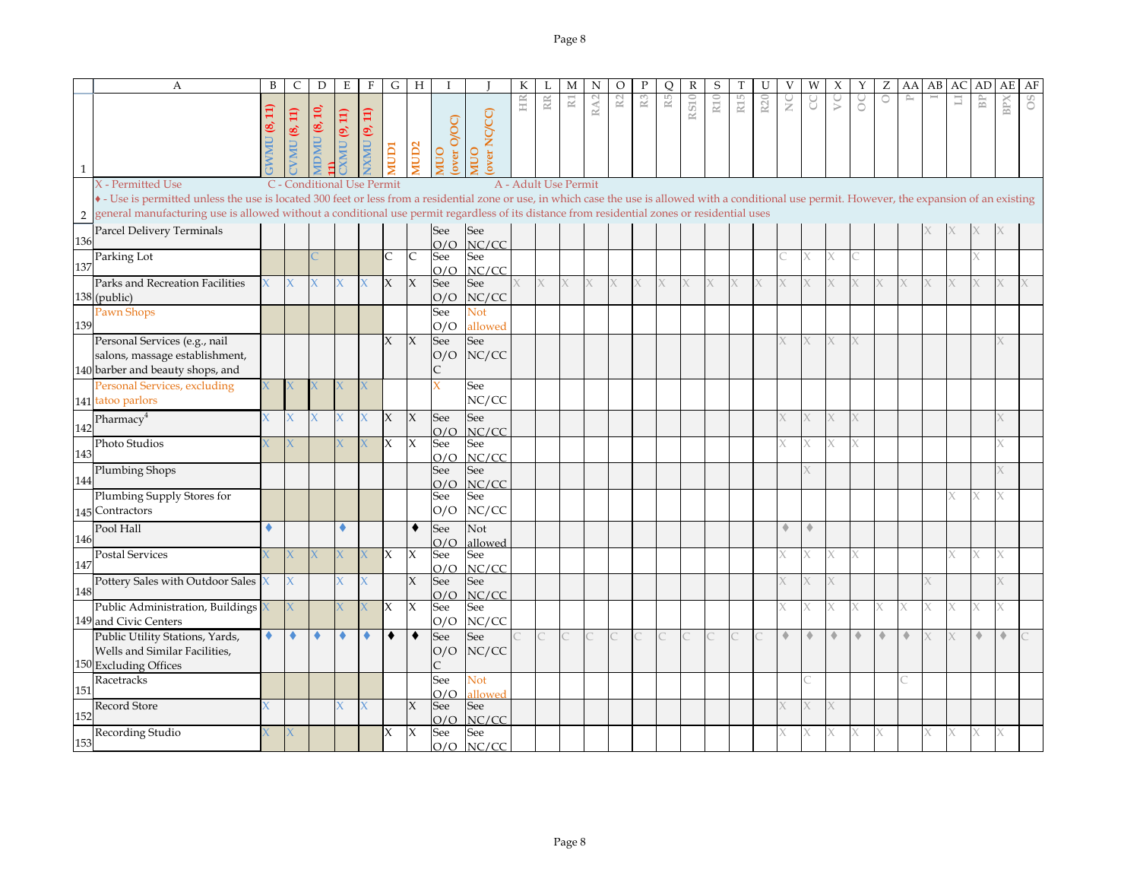|                | $\boldsymbol{A}$                                                                                                                                                                                      | B | $\mathsf{C}$     | D                                | E                         | $\mathbf{F}$    | G            | H            |                           |                     | К                    | L         | M                     | N               | $\circ$ | P              | O  | $\mathbb{R}$ | S   | Т               | U               | V             | W | X  | Υ                    | Ζ | AA        | AB | AC     | AD                   | AE         | AF             |
|----------------|-------------------------------------------------------------------------------------------------------------------------------------------------------------------------------------------------------|---|------------------|----------------------------------|---------------------------|-----------------|--------------|--------------|---------------------------|---------------------|----------------------|-----------|-----------------------|-----------------|---------|----------------|----|--------------|-----|-----------------|-----------------|---------------|---|----|----------------------|---|-----------|----|--------|----------------------|------------|----------------|
| 1              |                                                                                                                                                                                                       |   | $\Xi$<br>VMU (8, | $\mathbf{5}$<br>®,<br><b>UMC</b> | $\Xi$<br>G,<br><b>UMV</b> | (9, 11)<br>IXMU | <b>ICIDI</b> | <b>AUD2</b>  | over O/OC)<br><b>NIVO</b> | over NC/CC)<br>OUIN | HR                   | <b>RR</b> | $\overline{\text{R}}$ | RA <sub>2</sub> | R2      | $\mathbb{R}^3$ | R5 | <b>RS10</b>  | R10 | R <sub>15</sub> | R <sub>20</sub> | $\frac{C}{Z}$ | g | S  | 8                    | 0 | $\approx$ |    | $\Box$ | $\mathbb B\mathbb P$ | <b>BPX</b> | <sup>o</sup> s |
|                | X - Permitted Use                                                                                                                                                                                     |   |                  | C - Conditional Use Permit       |                           |                 |              |              |                           |                     | A - Adult Use Permit |           |                       |                 |         |                |    |              |     |                 |                 |               |   |    |                      |   |           |    |        |                      |            |                |
|                | • - Use is permitted unless the use is located 300 feet or less from a residential zone or use, in which case the use is allowed with a conditional use permit. However, the expansion of an existing |   |                  |                                  |                           |                 |              |              |                           |                     |                      |           |                       |                 |         |                |    |              |     |                 |                 |               |   |    |                      |   |           |    |        |                      |            |                |
| $\overline{2}$ | general manufacturing use is allowed without a conditional use permit regardless of its distance from residential zones or residential uses                                                           |   |                  |                                  |                           |                 |              |              |                           |                     |                      |           |                       |                 |         |                |    |              |     |                 |                 |               |   |    |                      |   |           |    |        |                      |            |                |
| 136            | Parcel Delivery Terminals                                                                                                                                                                             |   |                  |                                  |                           |                 |              |              | See<br>O/O                | See<br>NC/CC        |                      |           |                       |                 |         |                |    |              |     |                 |                 |               |   |    |                      |   |           |    |        |                      |            |                |
|                | Parking Lot                                                                                                                                                                                           |   |                  |                                  |                           |                 |              | $\mathsf{C}$ | See                       | See                 |                      |           |                       |                 |         |                |    |              |     |                 |                 |               |   | X. |                      |   |           |    |        |                      |            |                |
| 137            |                                                                                                                                                                                                       |   |                  |                                  |                           |                 |              |              | O/O                       | NC/CC               |                      |           |                       |                 |         |                |    |              |     |                 |                 |               |   |    |                      |   |           |    |        |                      |            |                |
|                | Parks and Recreation Facilities<br>138 (public)                                                                                                                                                       |   |                  |                                  |                           | X               | X            | X            | See<br>O/O                | See<br>NC/CC        |                      |           |                       |                 |         |                |    |              |     |                 |                 |               |   |    |                      |   |           |    |        |                      |            |                |
|                | Pawn Shops                                                                                                                                                                                            |   |                  |                                  |                           |                 |              |              | See                       | Not                 |                      |           |                       |                 |         |                |    |              |     |                 |                 |               |   |    |                      |   |           |    |        |                      |            |                |
| 139            |                                                                                                                                                                                                       |   |                  |                                  |                           |                 |              |              | O/O                       | allowed             |                      |           |                       |                 |         |                |    |              |     |                 |                 |               |   |    |                      |   |           |    |        |                      |            |                |
|                | Personal Services (e.g., nail<br>salons, massage establishment,<br>140 barber and beauty shops, and                                                                                                   |   |                  |                                  |                           |                 | X            | X            | See<br>O/O                | See<br>NC/CC        |                      |           |                       |                 |         |                |    |              |     |                 |                 |               |   | X. |                      |   |           |    |        |                      |            |                |
|                | Personal Services, excluding                                                                                                                                                                          |   |                  |                                  |                           |                 |              |              | X                         | See                 |                      |           |                       |                 |         |                |    |              |     |                 |                 |               |   |    |                      |   |           |    |        |                      |            |                |
|                | 141 tatoo parlors                                                                                                                                                                                     |   |                  |                                  |                           |                 |              |              |                           | NC/CC               |                      |           |                       |                 |         |                |    |              |     |                 |                 |               |   |    |                      |   |           |    |        |                      |            |                |
| 142            | Pharmacy <sup>4</sup>                                                                                                                                                                                 |   |                  | X                                | X                         | X               | $\mathsf{X}$ | $\chi$       | See                       | See                 |                      |           |                       |                 |         |                |    |              |     |                 |                 |               |   | K. |                      |   |           |    |        |                      |            |                |
|                | Photo Studios                                                                                                                                                                                         |   |                  |                                  |                           | X               | IX           | $\mathsf{x}$ | O/O<br>See                | NC/CC<br>See        |                      |           |                       |                 |         |                |    |              |     |                 |                 |               | X | X  |                      |   |           |    |        |                      |            |                |
| 143            |                                                                                                                                                                                                       |   |                  |                                  |                           |                 |              |              | O/O                       | NC/CC               |                      |           |                       |                 |         |                |    |              |     |                 |                 |               |   |    |                      |   |           |    |        |                      |            |                |
|                | <b>Plumbing Shops</b>                                                                                                                                                                                 |   |                  |                                  |                           |                 |              |              | See                       | See                 |                      |           |                       |                 |         |                |    |              |     |                 |                 |               |   |    |                      |   |           |    |        |                      |            |                |
| 144            | Plumbing Supply Stores for                                                                                                                                                                            |   |                  |                                  |                           |                 |              |              | O/O<br>See                | NC/CC<br>See        |                      |           |                       |                 |         |                |    |              |     |                 |                 |               |   |    |                      |   |           |    |        |                      |            |                |
|                | 145 Contractors                                                                                                                                                                                       |   |                  |                                  |                           |                 |              |              | O/O                       | NC/CC               |                      |           |                       |                 |         |                |    |              |     |                 |                 |               |   |    |                      |   |           |    |        |                      |            |                |
|                | Pool Hall                                                                                                                                                                                             | ٠ |                  |                                  |                           |                 |              | ٠            | See                       | Not                 |                      |           |                       |                 |         |                |    |              |     |                 |                 | ۰             | ۰ |    |                      |   |           |    |        |                      |            |                |
| 146            |                                                                                                                                                                                                       |   |                  |                                  |                           |                 |              |              | O/O                       | allowed             |                      |           |                       |                 |         |                |    |              |     |                 |                 |               |   |    |                      |   |           |    |        |                      |            |                |
| 147            | <b>Postal Services</b>                                                                                                                                                                                |   |                  |                                  |                           | X               | IX           | $\chi$       | See                       | See                 |                      |           |                       |                 |         |                |    |              |     |                 |                 |               |   | X  |                      |   |           |    |        | X                    | X          |                |
|                | Pottery Sales with Outdoor Sales                                                                                                                                                                      | X |                  |                                  | X                         | X               |              | X            | O/O<br>See                | NC/CC<br>See        |                      |           |                       |                 |         |                |    |              |     |                 |                 |               |   | X. |                      |   |           |    |        |                      |            |                |
| 148            |                                                                                                                                                                                                       |   |                  |                                  |                           |                 |              |              | O/O                       | NC/CC               |                      |           |                       |                 |         |                |    |              |     |                 |                 |               |   |    |                      |   |           |    |        |                      |            |                |
|                | Public Administration, Buildings                                                                                                                                                                      |   |                  |                                  |                           |                 | IX           | X            | See                       | See                 |                      |           |                       |                 |         |                |    |              |     |                 |                 |               |   | X. |                      |   |           |    |        |                      |            |                |
|                | 149 and Civic Centers<br>Public Utility Stations, Yards,                                                                                                                                              | ٠ | ٠                |                                  |                           | ۰               | ٠            | ٠            | O/O                       | NC/CC               |                      |           |                       |                 |         |                |    |              |     |                 |                 |               | ۰ | ۰  | $\ddot{\phantom{1}}$ | ۰ | ۰         |    |        | ۰                    |            |                |
|                | Wells and Similar Facilities,                                                                                                                                                                         |   |                  |                                  |                           |                 |              |              | See<br>O/O                | See<br>NC/CC        |                      |           |                       |                 |         |                |    |              |     |                 |                 |               |   |    |                      |   |           |    |        |                      |            |                |
|                | 150 Excluding Offices                                                                                                                                                                                 |   |                  |                                  |                           |                 |              |              | C                         |                     |                      |           |                       |                 |         |                |    |              |     |                 |                 |               |   |    |                      |   |           |    |        |                      |            |                |
|                | Racetracks                                                                                                                                                                                            |   |                  |                                  |                           |                 |              |              | See                       | Not                 |                      |           |                       |                 |         |                |    |              |     |                 |                 |               |   |    |                      |   |           |    |        |                      |            |                |
| 151            | Record Store                                                                                                                                                                                          |   |                  |                                  | X                         | X.              |              | X            | O/O<br>See                | allowed<br>See      |                      |           |                       |                 |         |                |    |              |     |                 |                 |               |   |    |                      |   |           |    |        |                      |            |                |
| 152            |                                                                                                                                                                                                       |   |                  |                                  |                           |                 |              |              | O/O                       | NC/CC               |                      |           |                       |                 |         |                |    |              |     |                 |                 |               |   |    |                      |   |           |    |        |                      |            |                |
|                | Recording Studio                                                                                                                                                                                      |   |                  |                                  |                           |                 | X            | X            | See                       | See                 |                      |           |                       |                 |         |                |    |              |     |                 |                 |               |   | K  |                      |   |           |    |        | χ                    |            |                |
| 153            |                                                                                                                                                                                                       |   |                  |                                  |                           |                 |              |              | O/O                       | NC/CC               |                      |           |                       |                 |         |                |    |              |     |                 |                 |               |   |    |                      |   |           |    |        |                      |            |                |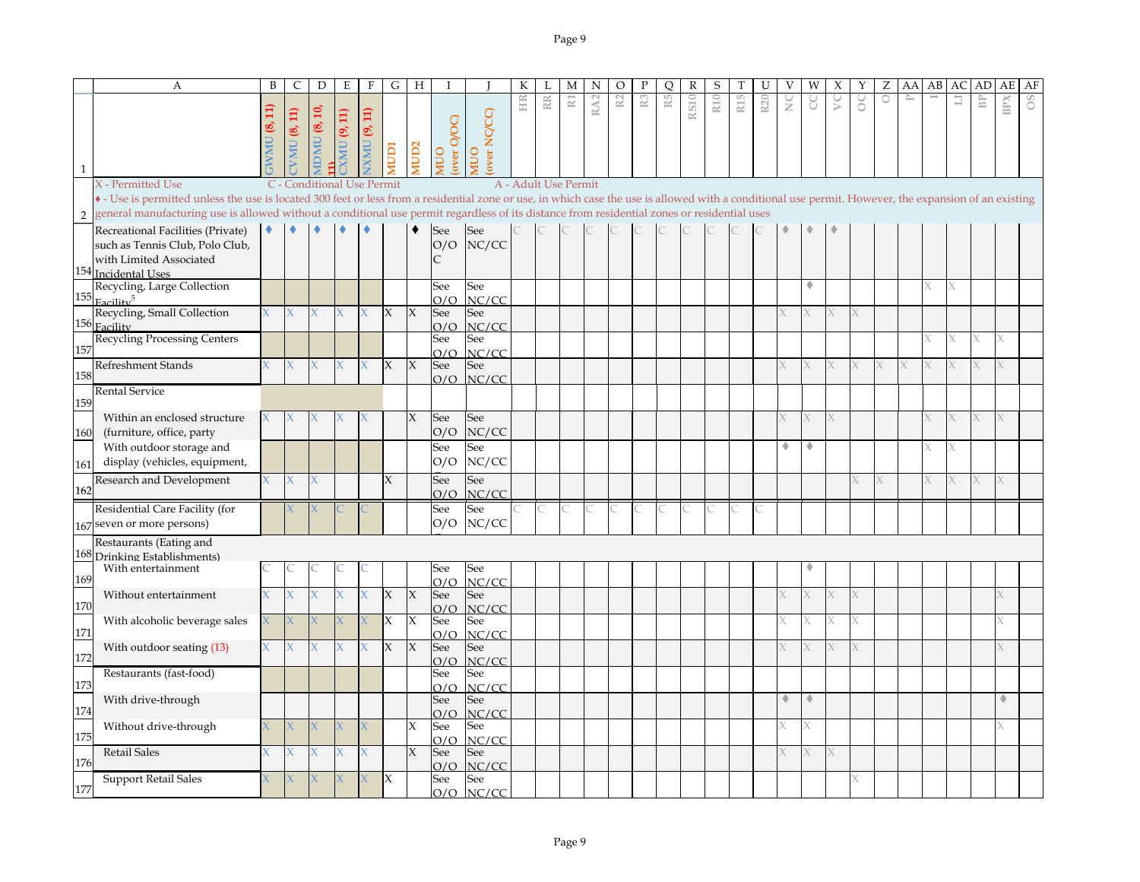|                | A                                                                                                                                                                                                   | B | $\mathsf{C}$ | $\mathbf D$                | Ε                     | $\mathbf{F}$         | G            | H                   |                    |                     | К  | L                       | M                     | N               | $\circ$        | P              | $\circ$ | R           | S   |                 | U   |                 | W | Х | Υ | Ζ       | AA        | AB | AC | AD                   | AE         | AF |
|----------------|-----------------------------------------------------------------------------------------------------------------------------------------------------------------------------------------------------|---|--------------|----------------------------|-----------------------|----------------------|--------------|---------------------|--------------------|---------------------|----|-------------------------|-----------------------|-----------------|----------------|----------------|---------|-------------|-----|-----------------|-----|-----------------|---|---|---|---------|-----------|----|----|----------------------|------------|----|
|                |                                                                                                                                                                                                     |   | VMU $(8,11)$ | ä,<br>S,<br><b>IDMU</b>    | (9, 11)<br><b>XMU</b> | <b>EXAMU (9, 11)</b> | <b>ICION</b> | <b>TUD2</b>         | over O/OC)<br>OUIN | over NC/CC)<br>OUIN | HR | $\mathbb{R} \mathbb{R}$ | $\overline{\text{K}}$ | RA <sub>2</sub> | R <sub>2</sub> | R <sub>3</sub> | R5      | <b>RS10</b> | R10 | R <sub>15</sub> | R20 | $\frac{C}{Z}$   | g | S | 8 | $\circ$ | $\approx$ |    | 冒  | $\mathbb B\mathbb P$ | <b>BPX</b> | °° |
|                | X - Permitted Use                                                                                                                                                                                   |   |              | C - Conditional Use Permit |                       |                      |              |                     |                    |                     |    | A - Adult Use Permit    |                       |                 |                |                |         |             |     |                 |     |                 |   |   |   |         |           |    |    |                      |            |    |
|                | • Use is permitted unless the use is located 300 feet or less from a residential zone or use, in which case the use is allowed with a conditional use permit. However, the expansion of an existing |   |              |                            |                       |                      |              |                     |                    |                     |    |                         |                       |                 |                |                |         |             |     |                 |     |                 |   |   |   |         |           |    |    |                      |            |    |
| $\overline{2}$ | general manufacturing use is allowed without a conditional use permit regardless of its distance from residential zones or residential uses                                                         |   |              |                            |                       |                      |              |                     |                    |                     |    |                         |                       |                 |                |                |         |             |     |                 |     |                 |   |   |   |         |           |    |    |                      |            |    |
|                | Recreational Facilities (Private)<br>such as Tennis Club, Polo Club,<br>with Limited Associated<br>154 Incidental Uses                                                                              |   |              |                            |                       |                      |              |                     | See<br>O/O<br>C    | See<br>NC/CC        |    |                         |                       |                 |                |                |         |             |     |                 |     |                 |   |   |   |         |           |    |    |                      |            |    |
|                | Recycling, Large Collection                                                                                                                                                                         |   |              |                            |                       |                      |              |                     | See                | See                 |    |                         |                       |                 |                |                |         |             |     |                 |     |                 |   |   |   |         |           |    |    |                      |            |    |
| 155            | Facility <sup>5</sup>                                                                                                                                                                               |   |              |                            |                       |                      |              |                     | O/O                | NC/CC               |    |                         |                       |                 |                |                |         |             |     |                 |     |                 |   |   |   |         |           |    |    |                      |            |    |
|                | Recycling, Small Collection                                                                                                                                                                         |   | X.           | X                          | X                     | X.                   | X            | $\chi$              | See                | See                 |    |                         |                       |                 |                |                |         |             |     |                 |     |                 |   |   |   |         |           |    |    |                      |            |    |
|                | 156 Facility<br><b>Recycling Processing Centers</b>                                                                                                                                                 |   |              |                            |                       |                      |              |                     | O/O<br>See         | NC/CC<br>See        |    |                         |                       |                 |                |                |         |             |     |                 |     |                 |   |   |   |         |           |    |    |                      |            |    |
| 157            |                                                                                                                                                                                                     |   |              |                            |                       |                      |              |                     | O/O                | NC/CC               |    |                         |                       |                 |                |                |         |             |     |                 |     |                 |   |   |   |         |           |    |    |                      |            |    |
|                | <b>Refreshment Stands</b>                                                                                                                                                                           |   |              | Χ                          | X                     | x                    | $\mathsf{X}$ | X                   | See                | See                 |    |                         |                       |                 |                |                |         |             |     |                 |     |                 |   |   |   |         |           |    |    |                      |            |    |
| 158            |                                                                                                                                                                                                     |   |              |                            |                       |                      |              |                     |                    | $O/O$ NC/CC         |    |                         |                       |                 |                |                |         |             |     |                 |     |                 |   |   |   |         |           |    |    |                      |            |    |
| 159            | Rental Service                                                                                                                                                                                      |   |              |                            |                       |                      |              |                     |                    |                     |    |                         |                       |                 |                |                |         |             |     |                 |     |                 |   |   |   |         |           |    |    |                      |            |    |
|                | Within an enclosed structure                                                                                                                                                                        |   |              |                            |                       |                      |              | X                   | See                | See                 |    |                         |                       |                 |                |                |         |             |     |                 |     |                 |   |   |   |         |           |    |    | Χ                    |            |    |
| 160            | (furniture, office, party                                                                                                                                                                           |   |              |                            |                       |                      |              |                     | O/O                | NC/CC               |    |                         |                       |                 |                |                |         |             |     |                 |     |                 |   |   |   |         |           |    |    |                      |            |    |
|                | With outdoor storage and                                                                                                                                                                            |   |              |                            |                       |                      |              |                     | See                | See                 |    |                         |                       |                 |                |                |         |             |     |                 |     | ٠               | ۰ |   |   |         |           |    |    |                      |            |    |
| 161            | display (vehicles, equipment,                                                                                                                                                                       |   |              |                            |                       |                      |              |                     | O/O                | NC/CC               |    |                         |                       |                 |                |                |         |             |     |                 |     |                 |   |   |   |         |           |    |    |                      |            |    |
| 162            | Research and Development                                                                                                                                                                            |   |              |                            |                       |                      | X            |                     | See                | See                 |    |                         |                       |                 |                |                |         |             |     |                 |     |                 |   |   |   |         |           |    |    |                      | X.         |    |
|                | Residential Care Facility (for                                                                                                                                                                      |   |              |                            |                       |                      |              |                     | O/O<br>See         | NC/CC<br>See        |    |                         |                       |                 |                |                |         |             |     |                 |     |                 |   |   |   |         |           |    |    |                      |            |    |
|                | 167 seven or more persons)                                                                                                                                                                          |   |              |                            |                       |                      |              |                     | O/O                | NC/CC               |    |                         |                       |                 |                |                |         |             |     |                 |     |                 |   |   |   |         |           |    |    |                      |            |    |
|                | Restaurants (Eating and                                                                                                                                                                             |   |              |                            |                       |                      |              |                     |                    |                     |    |                         |                       |                 |                |                |         |             |     |                 |     |                 |   |   |   |         |           |    |    |                      |            |    |
|                | 168 Drinking Establishments)                                                                                                                                                                        |   |              |                            |                       |                      |              |                     |                    |                     |    |                         |                       |                 |                |                |         |             |     |                 |     |                 |   |   |   |         |           |    |    |                      |            |    |
|                | With entertainment                                                                                                                                                                                  |   |              |                            |                       |                      |              |                     | See                | See                 |    |                         |                       |                 |                |                |         |             |     |                 |     |                 |   |   |   |         |           |    |    |                      |            |    |
| 169            | Without entertainment                                                                                                                                                                               |   |              |                            |                       |                      | X            | $\boldsymbol{\chi}$ | O/O<br>See         | NC/CC<br>See        |    |                         |                       |                 |                |                |         |             |     |                 |     |                 |   |   |   |         |           |    |    |                      |            |    |
| 170            |                                                                                                                                                                                                     |   |              |                            |                       |                      |              |                     | O/O                | NC/CC               |    |                         |                       |                 |                |                |         |             |     |                 |     |                 |   |   |   |         |           |    |    |                      |            |    |
|                | With alcoholic beverage sales                                                                                                                                                                       |   |              |                            |                       |                      | X            | $\boldsymbol{\chi}$ | See                | See                 |    |                         |                       |                 |                |                |         |             |     |                 |     |                 | Χ |   |   |         |           |    |    |                      |            |    |
| 171            |                                                                                                                                                                                                     |   |              |                            |                       |                      |              |                     | O/O                | NC/CC               |    |                         |                       |                 |                |                |         |             |     |                 |     |                 |   |   |   |         |           |    |    |                      |            |    |
| 172            | With outdoor seating (13)                                                                                                                                                                           |   |              |                            |                       | X.                   | X            | X                   | See<br>O/O         | See<br>NC/CC        |    |                         |                       |                 |                |                |         |             |     |                 |     |                 |   |   |   |         |           |    |    |                      |            |    |
|                | Restaurants (fast-food)                                                                                                                                                                             |   |              |                            |                       |                      |              |                     | See                | See                 |    |                         |                       |                 |                |                |         |             |     |                 |     |                 |   |   |   |         |           |    |    |                      |            |    |
| 173            |                                                                                                                                                                                                     |   |              |                            |                       |                      |              |                     | O/O                | NC/CC               |    |                         |                       |                 |                |                |         |             |     |                 |     |                 |   |   |   |         |           |    |    |                      |            |    |
| 174            | With drive-through                                                                                                                                                                                  |   |              |                            |                       |                      |              |                     | See                | See                 |    |                         |                       |                 |                |                |         |             |     |                 |     | $\triangleleft$ |   |   |   |         |           |    |    |                      | ۰          |    |
|                | Without drive-through                                                                                                                                                                               |   |              |                            |                       |                      |              | X                   | O/O<br>See         | NC/CC<br>See        |    |                         |                       |                 |                |                |         |             |     |                 |     |                 |   |   |   |         |           |    |    |                      |            |    |
| 175            |                                                                                                                                                                                                     |   |              |                            |                       |                      |              |                     | O/O                | NC/CC               |    |                         |                       |                 |                |                |         |             |     |                 |     |                 |   |   |   |         |           |    |    |                      |            |    |
| 176            | <b>Retail Sales</b>                                                                                                                                                                                 |   |              | Χ                          | Χ                     | X                    |              | $\chi$              | See                | See                 |    |                         |                       |                 |                |                |         |             |     |                 |     |                 |   |   |   |         |           |    |    |                      |            |    |
|                | <b>Support Retail Sales</b>                                                                                                                                                                         |   |              |                            |                       |                      |              |                     | O/O<br>See         | NC/CC<br>See        |    |                         |                       |                 |                |                |         |             |     |                 |     |                 |   |   |   |         |           |    |    |                      |            |    |
| 177            |                                                                                                                                                                                                     |   |              |                            |                       |                      |              |                     |                    | $O/O$ $NC/CC$       |    |                         |                       |                 |                |                |         |             |     |                 |     |                 |   |   |   |         |           |    |    |                      |            |    |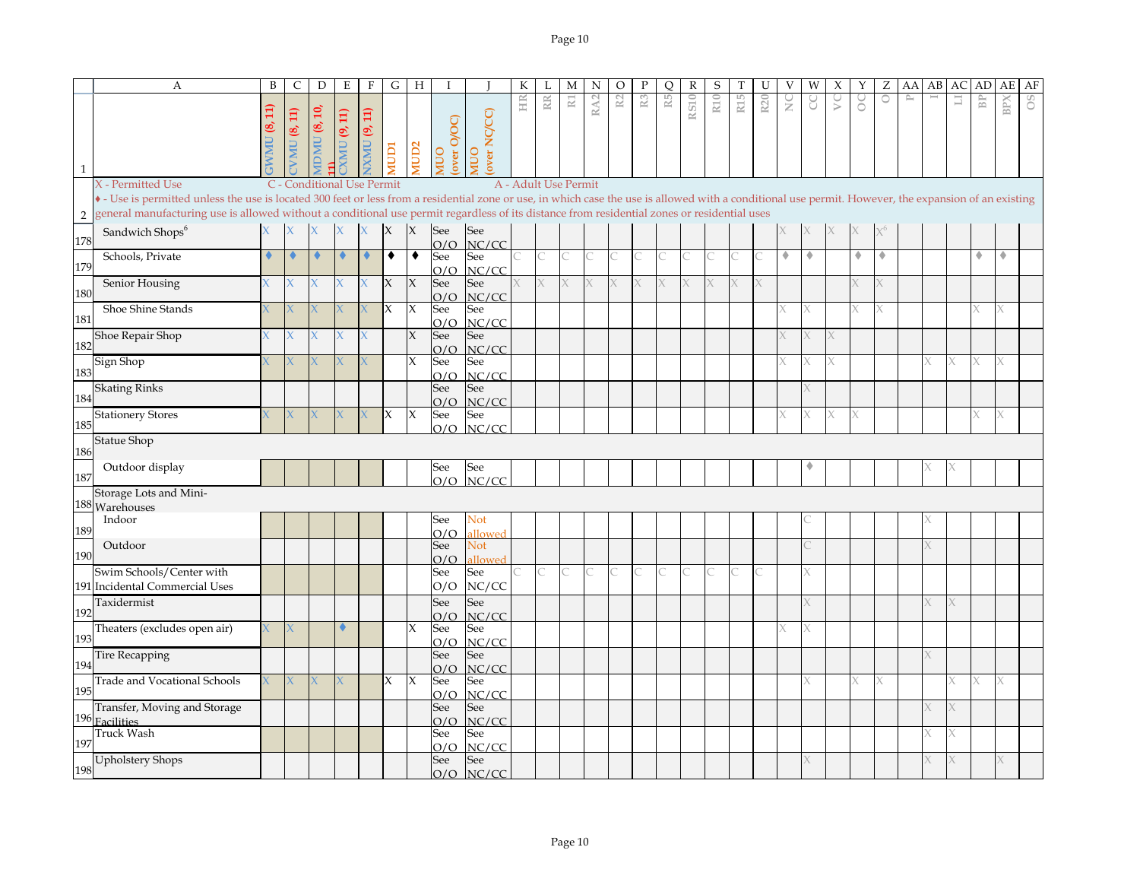|                | А                                                                                                                                                                                                     | B | C             | $\mathbf D$                 | E                          | $\mathbf F$ | G            | H                |                   |                       | К  |                      | М                     | N               | $\circ$        | ${\bf P}$      | Q              | $\mathbb R$ | $\mathsf S$ | T               | U   | V | W | Х | Υ | Z       | AA           | AB | AC | AD             | AE  | AF |
|----------------|-------------------------------------------------------------------------------------------------------------------------------------------------------------------------------------------------------|---|---------------|-----------------------------|----------------------------|-------------|--------------|------------------|-------------------|-----------------------|----|----------------------|-----------------------|-----------------|----------------|----------------|----------------|-------------|-------------|-----------------|-----|---|---|---|---|---------|--------------|----|----|----------------|-----|----|
| $\mathbf{1}$   |                                                                                                                                                                                                       |   | VMU $(8, 11)$ | $\overline{10}$<br>IDMU (8, | (9, 11)<br><b>NNIX</b>     | XMU (9, 11) | <b>ICIDI</b> | AUD <sub>2</sub> | over O/OC)<br>OUM | over NC/CC)<br>OUV    | HR | $\mathbb R$          | $\overline{\text{R}}$ | RA <sub>2</sub> | $\mathbb{R}^2$ | $\mathbb{R}^3$ | $\mathbb{R}^5$ | <b>RS10</b> | R10         | R <sub>15</sub> | R20 | ž | g | S | S | $\circ$ | $\mathbb{P}$ |    | Ħ  | B <sub>P</sub> | BPX | °° |
|                | X - Permitted Use                                                                                                                                                                                     |   |               |                             | C - Conditional Use Permit |             |              |                  |                   |                       |    | A - Adult Use Permit |                       |                 |                |                |                |             |             |                 |     |   |   |   |   |         |              |    |    |                |     |    |
|                | • - Use is permitted unless the use is located 300 feet or less from a residential zone or use, in which case the use is allowed with a conditional use permit. However, the expansion of an existing |   |               |                             |                            |             |              |                  |                   |                       |    |                      |                       |                 |                |                |                |             |             |                 |     |   |   |   |   |         |              |    |    |                |     |    |
| $\overline{2}$ | general manufacturing use is allowed without a conditional use permit regardless of its distance from residential zones or residential uses                                                           |   |               |                             |                            |             |              |                  |                   |                       |    |                      |                       |                 |                |                |                |             |             |                 |     |   |   |   |   |         |              |    |    |                |     |    |
| 178            | Sandwich Shops <sup>6</sup>                                                                                                                                                                           |   |               |                             |                            |             | X            | X                | See<br>O/O        | See<br>NC/CC          |    |                      |                       |                 |                |                |                |             |             |                 |     |   |   |   |   |         |              |    |    |                |     |    |
| 179            | Schools, Private                                                                                                                                                                                      |   |               |                             |                            |             | ٠            | ٠                | See<br>O/O        | See<br>NC/CC          |    | C                    |                       |                 |                |                |                |             |             |                 |     | ٠ | ۰ |   | ٠ | ٠       |              |    |    | 4              | ۰   |    |
| 180            | Senior Housing                                                                                                                                                                                        |   | K.            |                             |                            |             | X            | $\chi$           | See<br>O/O        | See<br>NC/CC          |    | X                    |                       | X               |                |                |                |             |             |                 |     |   |   |   |   |         |              |    |    |                |     |    |
| 181            | Shoe Shine Stands                                                                                                                                                                                     |   |               |                             |                            |             | IX.          | X                | See<br>O/O        | See<br>NC/CC          |    |                      |                       |                 |                |                |                |             |             |                 |     |   |   |   |   |         |              |    |    |                |     |    |
| 182            | Shoe Repair Shop                                                                                                                                                                                      |   | K.            |                             | X                          | X           |              | $\chi$           | See<br>O/O        | See<br>NC/CC          |    |                      |                       |                 |                |                |                |             |             |                 |     |   |   |   |   |         |              |    |    |                |     |    |
| 183            | Sign Shop                                                                                                                                                                                             |   |               |                             |                            |             |              | X                | See<br>O/O        | See<br>NC/CC          |    |                      |                       |                 |                |                |                |             |             |                 |     |   |   |   |   |         |              |    |    |                | X   |    |
| 184            | <b>Skating Rinks</b>                                                                                                                                                                                  |   |               |                             |                            |             |              |                  | See<br>O/O        | See<br>NC/CC          |    |                      |                       |                 |                |                |                |             |             |                 |     |   |   |   |   |         |              |    |    |                |     |    |
| 185            | <b>Stationery Stores</b>                                                                                                                                                                              |   |               |                             |                            |             | X            | X                | See<br>O/O        | See<br>NC/CC          |    |                      |                       |                 |                |                |                |             |             |                 |     |   |   |   |   |         |              |    |    |                | X   |    |
| 186            | <b>Statue Shop</b>                                                                                                                                                                                    |   |               |                             |                            |             |              |                  |                   |                       |    |                      |                       |                 |                |                |                |             |             |                 |     |   |   |   |   |         |              |    |    |                |     |    |
| 187            | Outdoor display                                                                                                                                                                                       |   |               |                             |                            |             |              |                  | See<br>O/O        | See<br>NC/CC          |    |                      |                       |                 |                |                |                |             |             |                 |     |   |   |   |   |         |              |    |    |                |     |    |
|                | Storage Lots and Mini-                                                                                                                                                                                |   |               |                             |                            |             |              |                  |                   |                       |    |                      |                       |                 |                |                |                |             |             |                 |     |   |   |   |   |         |              |    |    |                |     |    |
|                | 188 Warehouses                                                                                                                                                                                        |   |               |                             |                            |             |              |                  |                   |                       |    |                      |                       |                 |                |                |                |             |             |                 |     |   |   |   |   |         |              |    |    |                |     |    |
| 189            | Indoor                                                                                                                                                                                                |   |               |                             |                            |             |              |                  | See<br>O/O        | Not<br>allowed        |    |                      |                       |                 |                |                |                |             |             |                 |     |   |   |   |   |         |              |    |    |                |     |    |
| 190            | Outdoor                                                                                                                                                                                               |   |               |                             |                            |             |              |                  | See<br>O/O        | <b>Not</b><br>allowed |    |                      |                       |                 |                |                |                |             |             |                 |     |   |   |   |   |         |              |    |    |                |     |    |
|                | Swim Schools/Center with<br>191 Incidental Commercial Uses                                                                                                                                            |   |               |                             |                            |             |              |                  | See<br>O/O        | See<br>NC/CC          |    |                      |                       |                 |                |                |                |             |             |                 |     |   |   |   |   |         |              |    |    |                |     |    |
| 192            | Taxidermist                                                                                                                                                                                           |   |               |                             |                            |             |              |                  | See               | See<br>NC/CC          |    |                      |                       |                 |                |                |                |             |             |                 |     |   |   |   |   |         |              |    |    |                |     |    |
| 193            | Theaters (excludes open air)                                                                                                                                                                          |   |               |                             |                            |             |              | X                | O/O<br>See        | See                   |    |                      |                       |                 |                |                |                |             |             |                 |     |   |   |   |   |         |              |    |    |                |     |    |
| 194            | <b>Tire Recapping</b>                                                                                                                                                                                 |   |               |                             |                            |             |              |                  | O/O<br>See        | NC/CC<br>See          |    |                      |                       |                 |                |                |                |             |             |                 |     |   |   |   |   |         |              | X. |    |                |     |    |
| 195            | <b>Trade and Vocational Schools</b>                                                                                                                                                                   |   |               |                             |                            |             | X            | X                | O/O<br>See        | NC/CC<br>See          |    |                      |                       |                 |                |                |                |             |             |                 |     |   |   |   |   |         |              |    |    |                | X   |    |
|                | Transfer, Moving and Storage                                                                                                                                                                          |   |               |                             |                            |             |              |                  | O/O<br>See        | NC/CC<br>See          |    |                      |                       |                 |                |                |                |             |             |                 |     |   |   |   |   |         |              |    |    |                |     |    |
|                | 196 Facilities<br><b>Truck Wash</b>                                                                                                                                                                   |   |               |                             |                            |             |              |                  | O/O<br>See        | NC/CC<br>See          |    |                      |                       |                 |                |                |                |             |             |                 |     |   |   |   |   |         |              |    |    |                |     |    |
| 197            |                                                                                                                                                                                                       |   |               |                             |                            |             |              |                  | O/O               | NC/CC                 |    |                      |                       |                 |                |                |                |             |             |                 |     |   |   |   |   |         |              |    |    |                |     |    |
| 198            | <b>Upholstery Shops</b>                                                                                                                                                                               |   |               |                             |                            |             |              |                  | See<br>O/O        | See<br>NC/CC          |    |                      |                       |                 |                |                |                |             |             |                 |     |   |   |   |   |         |              |    |    |                | X.  |    |